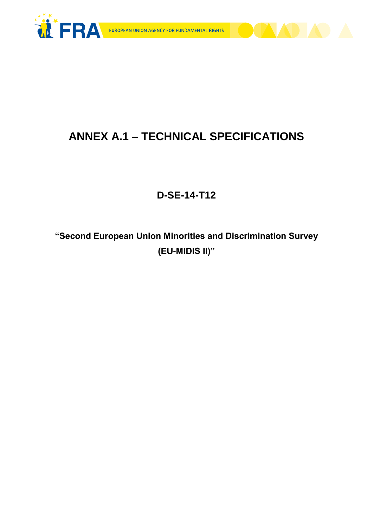



# **ANNEX A.1 – TECHNICAL SPECIFICATIONS**

## **D-SE-14-T12**

**"Second European Union Minorities and Discrimination Survey (EU-MIDIS II)"**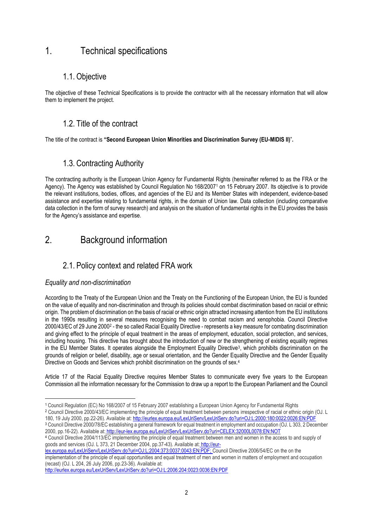## 1. Technical specifications

### 1.1. Objective

The objective of these Technical Specifications is to provide the contractor with all the necessary information that will allow them to implement the project.

### 1.2. Title of the contract

The title of the contract is **"Second European Union Minorities and Discrimination Survey (EU-MIDIS II)**"**.**

### 1.3. Contracting Authority

The contracting authority is the European Union Agency for Fundamental Rights (hereinafter referred to as the FRA or the Agency). The Agency was established by Council Regulation No 168/2007<sup>1</sup> on 15 February 2007. Its objective is to provide the relevant institutions, bodies, offices, and agencies of the EU and its Member States with independent, evidence-based assistance and expertise relating to fundamental rights, in the domain of Union law. Data collection (including comparative data collection in the form of survey research) and analysis on the situation of fundamental rights in the EU provides the basis for the Agency's assistance and expertise.

## 2. Background information

### 2.1. Policy context and related FRA work

#### *Equality and non-discrimination*

1

According to the Treaty of the European Union and the Treaty on the Functioning of the European Union, the EU is founded on the value of equality and non-discrimination and through its policies should combat discrimination based on racial or ethnic origin. The problem of discrimination on the basis of racial or ethnic origin attracted increasing attention from the EU institutions in the 1990s resulting in several measures recognising the need to combat racism and xenophobia. Council Directive 2000/43/EC of 29 June 2000<sup>2</sup> - the so called Racial Equality Directive - represents a key measure for combating discrimination and giving effect to the principle of equal treatment in the areas of employment, education, social protection, and services, including housing. This directive has brought about the introduction of new or the strengthening of existing equality regimes in the EU Member States. It operates alongside the Employment Equality Directive<sup>3</sup>, which prohibits discrimination on the grounds of religion or belief, disability, age or sexual orientation, and the Gender Equality Directive and the Gender Equality Directive on Goods and Services which prohibit discrimination on the grounds of sex.<sup>4</sup>

Article 17 of the Racial Equality Directive requires Member States to communicate every five years to the European Commission all the information necessary for the Commission to draw up a report to the European Parliament and the Council

[lex.europa.eu/LexUriServ/LexUriServ.do?uri=OJ:L:2004:373:0037:0043:EN:PDF;](http://eur-lex.europa.eu/LexUriServ/LexUriServ.do?uri=OJ:L:2004:373:0037:0043:EN:PDF) Council Directive 2006/54/EC on the on the implementation of the principle of equal opportunities and equal treatment of men and women in matters of employment and occupation (recast) (OJ. L 204, 26 July 2006, pp.23-36). Available at:

<sup>1</sup> Council Regulation (EC) No 168/2007 of 15 February 2007 establishing a European Union Agency for Fundamental Rights

<sup>2</sup> Council Directive 2000/43/EC implementing the principle of equal treatment between persons irrespective of racial or ethnic origin (OJ. L 180, 19 July 2000, pp.22-26). Available at: http://eurlex.europa.eu/LexUriServ/LexUriServ.do?uri=OJ:L:2000:180:0022:0026:EN:PDF

<sup>3</sup> Council Directive 2000/78/EC establishing a general framework for equal treatment in employment and occupation (OJ. L 303, 2 December 2000, pp.16-22). Available at: http://eur-lex.europa.eu/LexUriServ/LexUriServ.do?uri=CELEX:32000L0078:EN:NOT

<sup>4</sup> Council Directive 2004/113/EC implementing the principle of equal treatment between men and women in the access to and supply of goods and services (OJ. L 373, 21 December 2004, pp.37-43). Available at: [http://eur-](http://eur-lex.europa.eu/LexUriServ/LexUriServ.do?uri=OJ:L:2004:373:0037:0043:EN:PDF)

http://eurlex.europa.eu/LexUriServ/LexUriServ.do?uri=OJ:L:2006:204:0023:0036:EN:PDF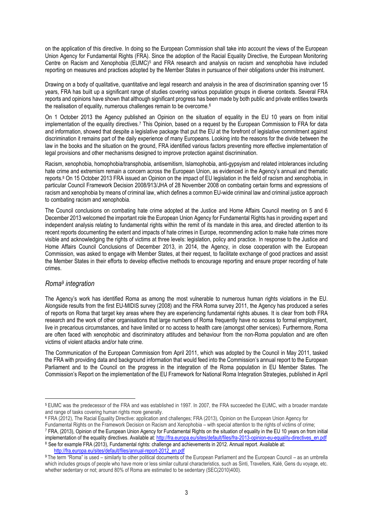on the application of this directive. In doing so the European Commission shall take into account the views of the European Union Agency for Fundamental Rights (FRA). Since the adoption of the Racial Equality Directive, the European Monitoring Centre on Racism and Xenophobia (EUMC)<sup>5</sup> and FRA research and analysis on racism and xenophobia have included reporting on measures and practices adopted by the Member States in pursuance of their obligations under this instrument.

Drawing on a body of qualitative, quantitative and legal research and analysis in the area of discrimination spanning over 15 years, FRA has built up a significant range of studies covering various population groups in diverse contexts. Several FRA reports and opinions have shown that although significant progress has been made by both public and private entities towards the realisation of equality, numerous challenges remain to be overcome.<sup>6</sup>

On 1 October 2013 the Agency published an Opinion on the situation of equality in the EU 10 years on from initial implementation of the equality directives.<sup>7</sup> This Opinion, based on a request by the European Commission to FRA for data and information, showed that despite a legislative package that put the EU at the forefront of legislative commitment against discrimination it remains part of the daily experience of many Europeans. Looking into the reasons for the divide between the law in the books and the situation on the ground, FRA identified various factors preventing more effective implementation of legal provisions and other mechanisms designed to improve protection against discrimination.

Racism, xenophobia, homophobia/transphobia, antisemitism, Islamophobia, anti-gypsyism and related intolerances including hate crime and extremism remain a concern across the European Union, as evidenced in the Agency's annual and thematic reports.<sup>8</sup> On 15 October 2013 FRA issued an Opinion on the impact of EU legislation in the field of racism and xenophobia, in particular Council Framework Decision 2008/913/JHA of 28 November 2008 on combating certain forms and expressions of racism and xenophobia by means of criminal law, which defines a common EU-wide criminal law and criminal justice approach to combating racism and xenophobia.

The Council conclusions on combating hate crime adopted at the Justice and Home Affairs Council meeting on 5 and 6 December 2013 welcomed the important role the European Union Agency for Fundamental Rights has in providing expert and independent analysis relating to fundamental rights within the remit of its mandate in this area, and directed attention to its recent reports documenting the extent and impacts of hate crimes in Europe, recommending action to make hate crimes more visible and acknowledging the rights of victims at three levels: legislation, policy and practice. In response to the Justice and Home Affairs Council Conclusions of December 2013, in 2014, the Agency, in close cooperation with the European Commission, was asked to engage with Member States, at their request, to facilitate exchange of good practices and assist the Member States in their efforts to develop effective methods to encourage reporting and ensure proper recording of hate crimes.

#### *Roma<sup>9</sup> integration*

1

The Agency's work has identified Roma as among the most vulnerable to numerous human rights violations in the EU. Alongside results from the first EU-MIDIS survey (2008) and the FRA Roma survey 2011, the Agency has produced a series of reports on Roma that target key areas where they are experiencing fundamental rights abuses. It is clear from both FRA research and the work of other organisations that large numbers of Roma frequently have no access to formal employment, live in precarious circumstances, and have limited or no access to health care (amongst other services). Furthermore, Roma are often faced with xenophobic and discriminatory attitudes and behaviour from the non-Roma population and are often victims of violent attacks and/or hate crime.

The Communication of the European Commission from April 2011, which was adopted by the Council in May 2011, tasked the FRA with providing data and background information that would feed into the Commission's annual report to the European Parliament and to the Council on the progress in the integration of the Roma population in EU Member States. The Commission's Report on the implementation of the EU Framework for National Roma Integration Strategies, published in April

Fundamental Rights on the Framework Decision on Racism and Xenophobia – with special attention to the rights of victims of crime; <sup>7</sup> FRA, (2013), Opinion of the European Union Agency for Fundamental Rights on the situation of equality in the EU 10 years on from initial implementation of the equality directives. Available at: http://fra.europa.eu/sites/default/files/fra-2013-opinion-eu-equality-directives\_en.pdf 8 See for example FRA (2013), Fundamental rights: challenge and achievements in 2012. Annual report. Available at:

[http://fra.europa.eu/sites/default/files/annual-report-2012\\_en.pdf](http://fra.europa.eu/sites/default/files/annual-report-2012_en.pdf)

<sup>5</sup> EUMC was the predecessor of the FRA and was established in 1997. In 2007, the FRA succeeded the EUMC, with a broader mandate and range of tasks covering human rights more generally.

<sup>6</sup> FRA (2012), The Racial Equality Directive: application and challenges; FRA (2013), Opinion on the European Union Agency for

<sup>9</sup> The term "Roma" is used – similarly to other political documents of the European Parliament and the European Council – as an umbrella which includes groups of people who have more or less similar cultural characteristics, such as Sinti, Travellers, Kalé, Gens du voyage, etc. whether sedentary or not; around 80% of Roma are estimated to be sedentary (SEC(2010)400).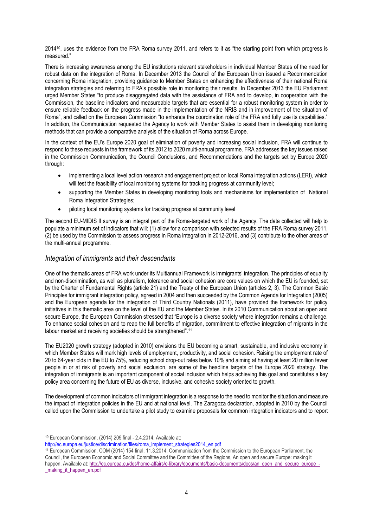2014<sup>10</sup> , uses the evidence from the FRA Roma survey 2011, and refers to it as "the starting point from which progress is measured."

There is increasing awareness among the EU institutions relevant stakeholders in individual Member States of the need for robust data on the integration of Roma. In December 2013 the Council of the European Union issued a Recommendation concerning Roma integration, providing guidance to Member States on enhancing the effectiveness of their national Roma integration strategies and referring to FRA's possible role in monitoring their results. In December 2013 the EU Parliament urged Member States "to produce disaggregated data with the assistance of FRA and to develop, in cooperation with the Commission, the baseline indicators and measureable targets that are essential for a robust monitoring system in order to ensure reliable feedback on the progress made in the implementation of the NRIS and in improvement of the situation of Roma", and called on the European Commission "to enhance the coordination role of the FRA and fully use its capabilities." In addition, the Communication requested the Agency to work with Member States to assist them in developing monitoring methods that can provide a comparative analysis of the situation of Roma across Europe.

In the context of the EU's Europe 2020 goal of elimination of poverty and increasing social inclusion, FRA will continue to respond to these requests in the framework of its 2012 to 2020 multi-annual programme. FRA addresses the key issues raised in the Commission Communication, the Council Conclusions, and Recommendations and the targets set by Europe 2020 through:

- implementing a local level action research and engagement project on local Roma integration actions (LERI), which will test the feasibility of local monitoring systems for tracking progress at community level;
- supporting the Member States in developing monitoring tools and mechanisms for implementation of National Roma Integration Strategies;
- piloting local monitoring systems for tracking progress at community level

The second EU-MIDIS II survey is an integral part of the Roma-targeted work of the Agency. The data collected will help to populate a minimum set of indicators that will: (1) allow for a comparison with selected results of the FRA Roma survey 2011, (2) be used by the Commission to assess progress in Roma integration in 2012-2016, and (3) contribute to the other areas of the multi-annual programme.

#### *Integration of immigrants and their descendants*

One of the thematic areas of FRA work under its Multiannual Framework is immigrants' integration. The principles of equality and non-discrimination, as well as pluralism, tolerance and social cohesion are core values on which the EU is founded, set by the Charter of Fundamental Rights (article 21) and the Treaty of the European Union (articles 2, 3). The Common Basic Principles for immigrant integration policy, agreed in 2004 and then succeeded by the Common Agenda for Integration (2005) and the European agenda for the integration of Third Country Nationals (2011), have provided the framework for policy initiatives in this thematic area on the level of the EU and the Member States. In its 2010 Communication about an open and secure Europe, the European Commission stressed that "Europe is a diverse society where integration remains a challenge. To enhance social cohesion and to reap the full benefits of migration, commitment to effective integration of migrants in the labour market and receiving societies should be strengthened". 11

The EU2020 growth strategy (adopted in 2010) envisions the EU becoming a smart, sustainable, and inclusive economy in which Member States will mark high levels of employment, productivity, and social cohesion. Raising the employment rate of 20 to 64-year olds in the EU to 75%, reducing school drop-out rates below 10% and aiming at having at least 20 million fewer people in or at risk of poverty and social exclusion, are some of the headline targets of the Europe 2020 strategy. The integration of immigrants is an important component of social inclusion which helps achieving this goal and constitutes a key policy area concerning the future of EU as diverse, inclusive, and cohesive society oriented to growth.

The development of common indicators of immigrant integration is a response to the need to monitor the situation and measure the impact of integration policies in the EU and at national level. The Zaragoza declaration, adopted in 2010 by the Council called upon the Commission to undertake a pilot study to examine proposals for common integration indicators and to report

<sup>&</sup>lt;u>.</u> <sup>10</sup> European Commission, (2014) 209 final - 2.4.2014, Available at:

[http://ec.europa.eu/justice/discrimination/files/roma\\_implement\\_strategies2014\\_en.pdf](http://ec.europa.eu/justice/discrimination/files/roma_implement_strategies2014_en.pdf)

<sup>11</sup> European Commission, COM (2014) 154 final, 11.3.2014, Communication from the Commission to the European Parliament, the Council, the European Economic and Social Committee and the Committee of the Regions, An open and secure Europe: making it happen. Available at: http://ec.europa.eu/dgs/home-affairs/e-library/documents/basic-documents/docs/an\_open\_and\_secure\_europe [\\_making\\_it\\_happen\\_en.pdf](http://ec.europa.eu/dgs/home-affairs/e-library/documents/basic-documents/docs/an_open_and_secure_europe_-_making_it_happen_en.pdf)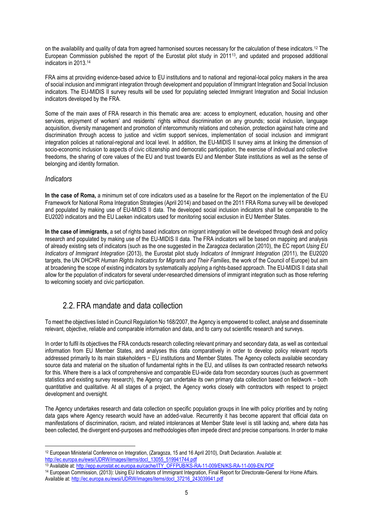on the availability and quality of data from agreed harmonised sources necessary for the calculation of these indicators.<sup>12</sup> The European Commission published the report of the Eurostat pilot study in 201113, and updated and proposed additional indicators in 2013.<sup>14</sup>

FRA aims at providing evidence-based advice to EU institutions and to national and regional-local policy makers in the area of social inclusion and immigrant integration through development and population of Immigrant Integration and Social Inclusion indicators. The EU-MIDIS II survey results will be used for populating selected Immigrant Integration and Social Inclusion indicators developed by the FRA.

Some of the main axes of FRA research in this thematic area are: access to employment, education, housing and other services, enjoyment of workers' and residents' rights without discrimination on any grounds; social inclusion, language acquisition, diversity management and promotion of intercommunity relations and cohesion, protection against hate crime and discrimination through access to justice and victim support services, implementation of social inclusion and immigrant integration policies at national-regional and local level. In addition, the EU-MIDIS II survey aims at linking the dimension of socio-economic inclusion to aspects of civic citizenship and democratic participation, the exercise of individual and collective freedoms, the sharing of core values of the EU and trust towards EU and Member State institutions as well as the sense of belonging and identity formation.

#### *Indicators*

**In the case of Roma,** a minimum set of core indicators used as a baseline for the Report on the implementation of the EU Framework for National Roma Integration Strategies (April 2014) and based on the 2011 FRA Roma survey will be developed and populated by making use of EU-MIDIS II data. The developed social inclusion indicators shall be comparable to the EU2020 indicators and the EU Laeken indicators used for monitoring social exclusion in EU Member States.

**In the case of immigrants,** a set of rights based indicators on migrant integration will be developed through desk and policy research and populated by making use of the EU-MIDIS II data. The FRA indicators will be based on mapping and analysis of already existing sets of indicators (such as the one suggested in the Zaragoza declaration (2010), the EC report *Using EU Indicators of Immigrant Integration* (2013), the Eurostat pilot study *Indicators of Immigrant Integration* (2011), the EU2020 targets, the UN OHCHR *Human Rights Indicators for Migrants and Their Families*, the work of the Council of Europe) but aim at broadening the scope of existing indicators by systematically applying a rights-based approach. The EU-MIDIS II data shall allow for the population of indicators for several under-researched dimensions of immigrant integration such as those referring to welcoming society and civic participation.

### 2.2. FRA mandate and data collection

To meet the objectives listed in Council Regulation No 168/2007, the Agency is empowered to collect, analyse and disseminate relevant, objective, reliable and comparable information and data, and to carry out scientific research and surveys.

In order to fulfil its objectives the FRA conducts research collecting relevant primary and secondary data, as well as contextual information from EU Member States, and analyses this data comparatively in order to develop policy relevant reports addressed primarily to its main stakeholders − EU institutions and Member States. The Agency collects available secondary source data and material on the situation of fundamental rights in the EU, and utilises its own contracted research networks for this. Where there is a lack of comprehensive and comparable EU-wide data from secondary sources (such as government statistics and existing survey research), the Agency can undertake its own primary data collection based on fieldwork – both quantitative and qualitative. At all stages of a project, the Agency works closely with contractors with respect to project development and oversight.

The Agency undertakes research and data collection on specific population groups in line with policy priorities and by noting data gaps where Agency research would have an added-value. Recurrently it has become apparent that official data on manifestations of discrimination, racism, and related intolerances at Member State level is still lacking and, where data has been collected, the divergent end-purposes and methodologies often impede direct and precise comparisons. In order to make

<sup>1</sup> <sup>12</sup> European Ministerial Conference on Integration, (Zaragoza, 15 and 16 April 2010), Draft Declaration. Available at: [http://ec.europa.eu/ewsi/UDRW/images/items/docl\\_13055\\_519941744.pdf](http://ec.europa.eu/ewsi/UDRW/images/items/docl_13055_519941744.pdf) 

<sup>13</sup> Available at: http://epp.eurostat.ec.europa.eu/cache/ITY\_OFFPUB/KS-RA-11-009/EN/KS-RA-11-009-EN.PDF

<sup>14</sup> European Commission, (2013): Using EU Indicators of Immigrant Integration, Final Report for Directorate-General for Home Affairs. Available at: http://ec.europa.eu/ewsi/UDRW/images/items/docl\_37216\_243039941.pdf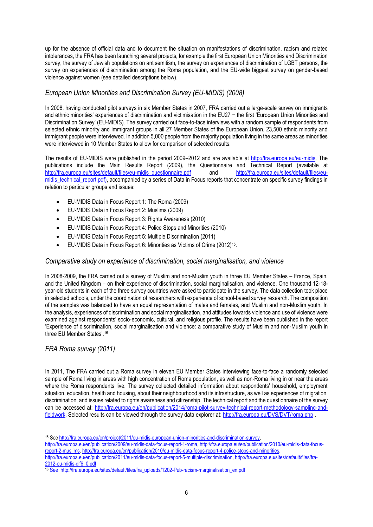up for the absence of official data and to document the situation on manifestations of discrimination, racism and related intolerances, the FRA has been launching several projects, for example the first European Union Minorities and Discrimination survey, the survey of Jewish populations on antisemitism, the survey on experiences of discrimination of LGBT persons, the survey on experiences of discrimination among the Roma population, and the EU-wide biggest survey on gender-based violence against women (see detailed descriptions below).

### *European Union Minorities and Discrimination Survey (EU-MIDIS) (2008)*

In 2008, having conducted pilot surveys in six Member States in 2007, FRA carried out a large-scale survey on immigrants and ethnic minorities' experiences of discrimination and victimisation in the EU27 − the first 'European Union Minorities and Discrimination Survey' (EU-MIDIS). The survey carried out face-to-face interviews with a random sample of respondents from selected ethnic minority and immigrant groups in all 27 Member States of the European Union. 23,500 ethnic minority and immigrant people were interviewed. In addition 5,000 people from the majority population living in the same areas as minorities were interviewed in 10 Member States to allow for comparison of selected results.

The results of EU-MIDIS were published in the period 2009–2012 and are available at [http://fra.europa.eu/eu-midis.](http://fra.europa.eu/eu-midis) The publications include the Main Results Report (2009), the Questionnaire and Technical Report (available at [http://fra.europa.eu/sites/default/files/eu-midis\\_questionnaire.pdf](http://fra.europa.eu/sites/default/files/eu-midis_questionnaire.pdf) and http://fra.europa.eu/sites/default/files/eumidis\_technical\_report.pdf), accompanied by a series of Data in Focus reports that concentrate on specific survey findings in relation to particular groups and issues:

- [EU-MIDIS Data in Focus Report 1: The Roma](http://fra.europa.eu/en/publication/2009/eu-midis-data-focus-report-1-roma) (2009)
- [EU-MIDIS Data in Focus Report 2: Muslims](http://fra.europa.eu/en/publication/2010/eu-midis-data-focus-report-2-muslims) (2009)
- [EU-MIDIS Data in Focus Report 3: Rights Awareness](http://fra.europa.eu/en/upload/1033) (2010)
- EU-MIDIS Data in Focus Report 4: Police Stops and Minorities (2010)
- EU-MIDIS Data in Focus Report 5: Multiple Discrimination (2011)
- EU-MIDIS Data in Focus Report 6: Minorities as Victims of Crime (2012)<sup>15</sup>.

#### *Comparative study on experience of discrimination, social marginalisation, and violence*

In 2008-2009, the FRA carried out a survey of Muslim and non-Muslim youth in three EU Member States – France, Spain, and the United Kingdom – on their experience of discrimination, social marginalisation, and violence. One thousand 12-18 year-old students in each of the three survey countries were asked to participate in the survey. The data collection took place in selected schools, under the coordination of researchers with experience of school-based survey research. The composition of the samples was balanced to have an equal representation of males and females, and Muslim and non-Muslim youth. In the analysis, experiences of discrimination and social marginalisation, and attitudes towards violence and use of violence were examined against respondents' socio-economic, cultural, and religious profile. The results have been published in the report 'Experience of discrimination, social marginalisation and violence: a comparative study of Muslim and non-Muslim youth in three EU Member States'.<sup>16</sup>

#### *FRA Roma survey (2011)*

In 2011, The FRA carried out a Roma survey in eleven EU Member States interviewing face-to-face a randomly selected sample of Roma living in areas with high concentration of Roma population, as well as non-Roma living in or near the areas where the Roma respondents live. The survey collected detailed information about respondents' household, employment situation, education, health and housing, about their neighbourhood and its infrastructure, as well as experiences of migration, discrimination, and issues related to rights awareness and citizenship. The technical report and the questionnaire of the survey can be accessed at: [http://fra.europa.eu/en/publication/2014/roma-pilot-survey-technical-report-methodology-sampling-and](http://fra.europa.eu/en/publication/2014/roma-pilot-survey-technical-report-methodology-sampling-and-fieldwork)[fieldwork.](http://fra.europa.eu/en/publication/2014/roma-pilot-survey-technical-report-methodology-sampling-and-fieldwork) Selected results can be viewed through the survey data explorer at:<http://fra.europa.eu/DVS/DVT/roma.php> .

[http://fra.europa.eu/en/publication/2009/eu-midis-data-focus-report-1-roma,](http://fra.europa.eu/en/publication/2009/eu-midis-data-focus-report-1-roma) [http://fra.europa.eu/en/publication/2010/eu-midis-data-focus](http://fra.europa.eu/en/publication/2010/eu-midis-data-focus-report-2-muslims)[report-2-muslims,](http://fra.europa.eu/en/publication/2010/eu-midis-data-focus-report-2-muslims) [http://fra.europa.eu/en/publication/2010/eu-midis-data-focus-report-4-police-stops-and-minorities,](http://fra.europa.eu/en/publication/2010/eu-midis-data-focus-report-4-police-stops-and-minorities)  [http://fra.europa.eu/en/publication/2011/eu-midis-data-focus-report-5-multiple-discrimination,](http://fra.europa.eu/en/publication/2011/eu-midis-data-focus-report-5-multiple-discrimination) [http://fra.europa.eu/sites/default/files/fra-](http://fra.europa.eu/sites/default/files/fra-2012-eu-midis-dif6_0.pdf)

<sup>&</sup>lt;u>.</u> <sup>15</sup> Se[e http://fra.europa.eu/en/project/2011/eu-midis-european-union-minorities-and-discrimination-survey,](http://fra.europa.eu/en/project/2011/eu-midis-european-union-minorities-and-discrimination-survey) 

[<sup>2012-</sup>eu-midis-dif6\\_0.pdf](http://fra.europa.eu/sites/default/files/fra-2012-eu-midis-dif6_0.pdf)

<sup>16</sup> See http://fra.europa.eu/sites/default/files/fra\_uploads/1202-Pub-racism-marginalisation\_en.pdf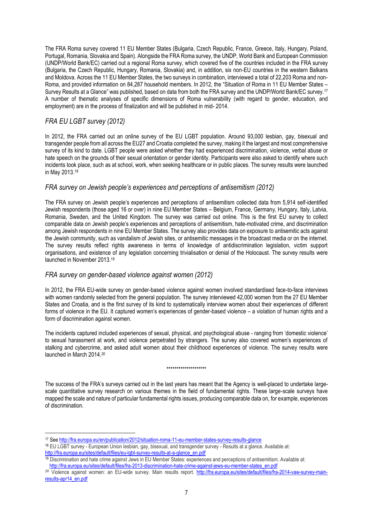The FRA Roma survey covered 11 EU Member States (Bulgaria, Czech Republic, France, Greece, Italy, Hungary, Poland, Portugal, Romania, Slovakia and Spain). Alongside the FRA Roma survey, the UNDP, World Bank and European Commission (UNDP/World Bank/EC) carried out a regional Roma survey, which covered five of the countries included in the FRA survey (Bulgaria, the Czech Republic, Hungary, Romania, Slovakia) and, in addition, six non-EU countries in the western Balkans and Moldova. Across the 11 EU Member States, the two surveys in combination, interviewed a total of 22,203 Roma and non-Roma, and provided information on 84,287 household members. In 2012, the "Situation of Roma in 11 EU Member States – Survey Results at a Glance" was published, based on data from both the FRA survey and the UNDP/World Bank/EC survey.<sup>17</sup> A number of thematic analyses of specific dimensions of Roma vulnerability (with regard to gender, education, and employment) are in the process of finalization and will be published in mid- 2014.

### *FRA EU LGBT survey (2012)*

1

In 2012, the FRA carried out an online survey of the EU LGBT population. Around 93,000 lesbian, gay, bisexual and transgender people from all across the EU27 and Croatia completed the survey, making it the largest and most comprehensive survey of its kind to date. LGBT people were asked whether they had experienced discrimination, violence, verbal abuse or hate speech on the grounds of their sexual orientation or gender identity. Participants were also asked to identify where such incidents took place, such as at school, work, when seeking healthcare or in public places. The survey results were launched in May 2013.<sup>18</sup>

#### *FRA survey on Jewish people's experiences and perceptions of antisemitism (2012)*

The FRA survey on Jewish people's experiences and perceptions of antisemitism collected data from 5,914 self-identified Jewish respondents (those aged 16 or over) in nine EU Member States – Belgium, France, Germany, Hungary, Italy, Latvia, Romania, Sweden, and the United Kingdom. The survey was carried out online. This is the first EU survey to collect comparable data on Jewish people's experiences and perceptions of antisemitism, hate-motivated crime, and discrimination among Jewish respondents in nine EU Member States. The survey also provides data on exposure to antisemitic acts against the Jewish community, such as vandalism of Jewish sites, or antisemitic messages in the broadcast media or on the internet. The survey results reflect rights awareness in terms of knowledge of antidiscrimination legislation, victim support organisations, and existence of any legislation concerning trivialisation or denial of the Holocaust. The survey results were launched in November 2013. 19

#### *FRA survey on gender-based violence against women (2012)*

In 2012, the FRA EU-wide survey on gender-based violence against women involved standardised face-to-face interviews with women randomly selected from the general population. The survey interviewed 42,000 women from the 27 EU Member States and Croatia, and is the first survey of its kind to systematically interview women about their experiences of different forms of violence in the EU. It captured women's experiences of gender-based violence – a violation of human rights and a form of discrimination against women.

The incidents captured included experiences of sexual, physical, and psychological abuse - ranging from 'domestic violence' to sexual harassment at work, and violence perpetrated by strangers. The survey also covered women's experiences of stalking and cybercrime, and asked adult women about their childhood experiences of violence. The survey results were launched in March 2014. 20

#### \*\*\*\*\*\*\*\*\*\*\*\*\*\*\*\*\*\*\*\*

The success of the FRA's surveys carried out in the last years has meant that the Agency is well-placed to undertake largescale quantitative survey research on various themes in the field of fundamental rights. These large-scale surveys have mapped the scale and nature of particular fundamental rights issues, producing comparable data on, for example, experiences of discrimination.

<sup>17</sup> Se[e http://fra.europa.eu/en/publication/2012/situation-roma-11-eu-member-states-survey-results-glance](http://fra.europa.eu/en/publication/2012/situation-roma-11-eu-member-states-survey-results-glance)

<sup>18</sup> EU LGBT survey - European Union lesbian, gay, bisexual, and transgender survey - Results at a glance. Available at: [http://fra.europa.eu/sites/default/files/eu-lgbt-survey-results-at-a-glance\\_en.pdf](http://fra.europa.eu/sites/default/files/eu-lgbt-survey-results-at-a-glance_en.pdf)

<sup>19</sup> Discrimination and hate crime against Jews in EU Member States: experiences and perceptions of antisemitism. Available at: [http://fra.europa.eu/sites/default/files/fra-2013-discrimination-hate-crime-against-jews-eu-member-states\\_en.pdf](http://fra.europa.eu/sites/default/files/fra-2013-discrimination-hate-crime-against-jews-eu-member-states_en.pdf)

<sup>&</sup>lt;sup>20</sup> Violence against women: an EU-wide survey. Main results report. [http://fra.europa.eu/sites/default/files/fra-2014-vaw-survey-main](http://fra.europa.eu/sites/default/files/fra-2014-vaw-survey-main-results-apr14_en.pdf)[results-apr14\\_en.pdf](http://fra.europa.eu/sites/default/files/fra-2014-vaw-survey-main-results-apr14_en.pdf)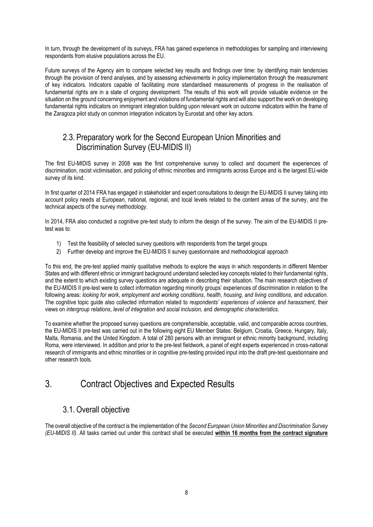In turn, through the development of its surveys, FRA has gained experience in methodologies for sampling and interviewing respondents from elusive populations across the EU.

Future surveys of the Agency aim to compare selected key results and findings over time: by identifying main tendencies through the provision of trend analyses, and by assessing achievements in policy implementation through the measurement of key indicators. Indicators capable of facilitating more standardised measurements of progress in the realisation of fundamental rights are in a state of ongoing development. The results of this work will provide valuable evidence on the situation on the ground concerning enjoyment and violations of fundamental rights and will also support the work on developing fundamental rights indicators on immigrant integration building upon relevant work on outcome indicators within the frame of the Zaragoza pilot study on common integration indicators by Eurostat and other key actors.

### 2.3. Preparatory work for the Second European Union Minorities and Discrimination Survey (EU-MIDIS II)

The first EU-MIDIS survey in 2008 was the first comprehensive survey to collect and document the experiences of discrimination, racist victimisation, and policing of ethnic minorities and immigrants across Europe and is the largest EU-wide survey of its kind.

In first quarter of 2014 FRA has engaged in stakeholder and expert consultations to design the EU-MIDIS II survey taking into account policy needs at European, national, regional, and local levels related to the content areas of the survey, and the technical aspects of the survey methodology.

In 2014, FRA also conducted a cognitive pre-test study to inform the design of the survey. The aim of the EU-MIDIS II pretest was to:

- 1) Test the feasibility of selected survey questions with respondents from the target groups
- 2) Further develop and improve the EU-MIDIS II survey questionnaire and methodological approach

To this end, the pre-test applied mainly qualitative methods to explore the ways in which respondents in different Member States and with different ethnic or immigrant background understand selected key concepts related to their fundamental rights, and the extent to which existing survey questions are adequate in describing their situation. The main research objectives of the EU-MIDIS II pre-test were to collect information regarding minority groups' experiences of discrimination in relation to the following areas: *looking for work*, *employment and working conditions*, *health*, *housing, and living conditions,* and *education*. The cognitive topic guide also collected information related to *respondents' experiences of violence and harassment*, their views on *intergroup relations*, *level of integration and social inclusion,* and *demographic characteristics*.

To examine whether the proposed survey questions are comprehensible, acceptable, valid, and comparable across countries, the EU-MIDIS II pre-test was carried out in the following eight EU Member States: Belgium, Croatia, Greece, Hungary, Italy, Malta, Romania, and the United Kingdom. A total of 280 persons with an immigrant or ethnic minority background, including Roma, were interviewed. In addition and prior to the pre-test fieldwork, a panel of eight experts experienced in cross-national research of immigrants and ethnic minorities or in cognitive pre-testing provided input into the draft pre-test questionnaire and other research tools.

## 3. Contract Objectives and Expected Results

### 3.1. Overall objective

The overall objective of the contract is the implementation of the *Second European Union Minorities and Discrimination Survey (EU-MIDIS II).* All tasks carried out under this contract shall be executed **within 16 months from the contract signature**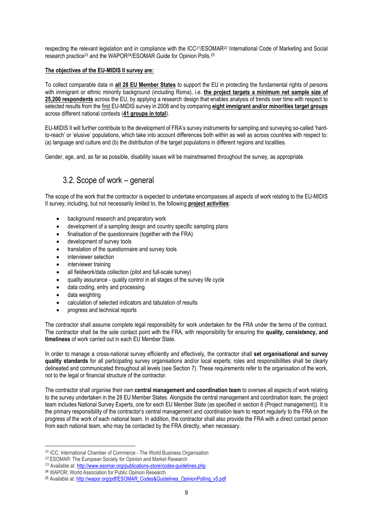respecting the relevant legislation and in compliance with the ICC21/ESOMAR<sup>22</sup> International Code of Marketing and Social research practice<sup>23</sup> and the WAPOR<sup>24</sup>/ESOMAR Guide for Opinion Polls.<sup>25</sup>

#### **The objectives of the EU-MIDIS II survey are:**

To collect comparable data in **all 28 EU Member States** to support the EU in protecting the fundamental rights of persons with immigrant or ethnic minority background (including Roma), i.e. **the project targets a minimum net sample size of 25,200 respondents** across the EU, by applying a research design that enables analysis of trends over time with respect to selected results from the first EU-MIDIS survey in 2008 and by comparing **eight immigrant and/or minorities target groups** across different national contexts (**41 groups in total**).

EU-MIDIS II will further contribute to the development of FRA's survey instruments for sampling and surveying so-called 'hardto-reach' or 'elusive' populations, which take into account differences both within as well as across countries with respect to: (a) language and culture and (b) the distribution of the target populations in different regions and localities.

Gender, age, and, as far as possible, disability issues will be mainstreamed throughout the survey, as appropriate.

### 3.2. Scope of work – general

The scope of the work that the contractor is expected to undertake encompasses all aspects of work relating to the EU-MIDIS II survey, including, but not necessarily limited to, the following **project activities**:

- background research and preparatory work
- development of a sampling design and country specific sampling plans
- finalisation of the questionnaire (together with the FRA)
- development of survey tools
- translation of the questionnaire and survey tools
- interviewer selection
- interviewer training
- all fieldwork/data collection (pilot and full-scale survey)
- quality assurance quality control in all stages of the survey life cycle
- data coding, entry and processing
- data weighting

<u>.</u>

- calculation of selected indicators and tabulation of results
- progress and technical reports

The contractor shall assume complete legal responsibility for work undertaken for the FRA under the terms of the contract. The contractor shall be the sole contact point with the FRA, with responsibility for ensuring the **quality, consistency, and timeliness** of work carried out in each EU Member State.

In order to manage a cross-national survey efficiently and effectively, the contractor shall **set organisational and survey quality standards** for all participating survey organisations and/or local experts; roles and responsibilities shall be clearly delineated and communicated throughout all levels (see Section 7). These requirements refer to the organisation of the work, not to the legal or financial structure of the contractor.

The contractor shall organise their own **central management and coordination team** to oversee all aspects of work relating to the survey undertaken in the 28 EU Member States. Alongside the central management and coordination team, the project team includes National Survey Experts, one for each EU Member State (as specified in section 6 (Project management)). It is the primary responsibility of the contractor's central management and coordination team to report regularly to the FRA on the progress of the work of each national team. In addition, the contractor shall also provide the FRA with a direct contact person from each national team, who may be contacted by the FRA directly, when necessary.

<sup>21</sup> ICC: International Chamber of Commerce - The World Business Organisation

<sup>&</sup>lt;sup>22</sup> ESOMAR: The European Society for Opinion and Market Research

<sup>&</sup>lt;sup>23</sup> Available at: http://www.esomar.org/publications-store/codes-quidelines.php

<sup>24</sup> WAPOR: World Association for Public Opinion Research

<sup>25</sup> Available at: http://wapor.org/pdf/ESOMAR\_Codes&Guidelines\_OpinionPolling\_v5.pdf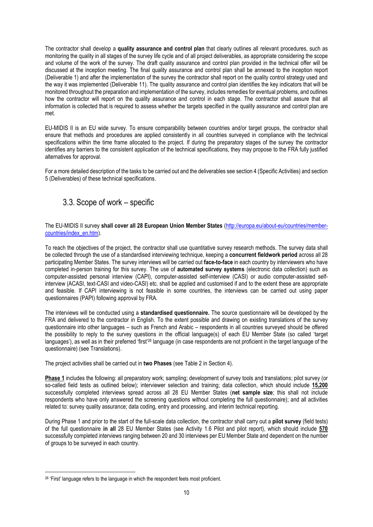The contractor shall develop a **quality assurance and control plan** that clearly outlines all relevant procedures, such as monitoring the quality in all stages of the survey life cycle and of all project deliverables, as appropriate considering the scope and volume of the work of the survey. The draft quality assurance and control plan provided in the technical offer will be discussed at the inception meeting. The final quality assurance and control plan shall be annexed to the inception report (Deliverable 1) and after the implementation of the survey the contractor shall report on the quality control strategy used and the way it was implemented (Deliverable 11). The quality assurance and control plan identifies the key indicators that will be monitored throughout the preparation and implementation of the survey, includes remedies for eventual problems, and outlines how the contractor will report on the quality assurance and control in each stage. The contractor shall assure that all information is collected that is required to assess whether the targets specified in the quality assurance and control plan are met.

EU-MIDIS II is an EU wide survey. To ensure comparability between countries and/or target groups, the contractor shall ensure that methods and procedures are applied consistently in all countries surveyed in compliance with the technical specifications within the time frame allocated to the project. If during the preparatory stages of the survey the contractor identifies any barriers to the consistent application of the technical specifications, they may propose to the FRA fully justified alternatives for approval.

For a more detailed description of the tasks to be carried out and the deliverables see section 4 (Specific Activities) and section 5 (Deliverables) of these technical specifications.

### 3.3. Scope of work – specific

#### The EU-MIDIS II survey **shall cover all 28 European Union Member States** [\(http://europa.eu/about-eu/countries/member](http://europa.eu/about-eu/countries/member-countries/index_en.htm)[countries/index\\_en.htm\)](http://europa.eu/about-eu/countries/member-countries/index_en.htm).

To reach the objectives of the project, the contractor shall use quantitative survey research methods. The survey data shall be collected through the use of a standardised interviewing technique, keeping a **concurrent fieldwork period** across all 28 participating Member States. The survey interviews will be carried out **face-to-face** in each country by interviewers who have completed in-person training for this survey. The use of **automated survey systems** (electronic data collection) such as computer-assisted personal interview (CAPI), computer-assisted self-interview (CASI) or audio computer-assisted selfinterview (ACASI, text-CASI and video-CASI) etc. shall be applied and customised if and to the extent these are appropriate and feasible. If CAPI interviewing is not feasible in some countries, the interviews can be carried out using paper questionnaires (PAPI) following approval by FRA.

The interviews will be conducted using a **standardised questionnaire.** The source questionnaire will be developed by the FRA and delivered to the contractor in English. To the extent possible and drawing on existing translations of the survey questionnaire into other languages – such as French and Arabic – respondents in all countries surveyed should be offered the possibility to reply to the survey questions in the official language(s) of each EU Member State (so called 'target languages'), as well as in their preferred 'first'<sup>26</sup> language (in case respondents are not proficient in the target language of the questionnaire) (see Translations).

The project activities shall be carried out in **two Phases** (see Table 2 in Section 4).

**Phase 1** includes the following: all preparatory work; sampling; development of survey tools and translations; pilot survey (or so-called field tests as outlined below); interviewer selection and training; data collection, which should include **15,200** successfully completed interviews spread across all 28 EU Member States (**net sample size**; this shall not include respondents who have only answered the screening questions without completing the full questionnaire); and all activities related to: survey quality assurance; data coding, entry and processing, and interim technical reporting.

During Phase 1 and prior to the start of the full-scale data collection, the contractor shall carry out a **pilot survey** (field tests) of the full questionnaire **in all** 28 EU Member States (see Activity 1.6 Pilot and pilot report), which should include **570** successfully completed interviews ranging between 20 and 30 interviews per EU Member State and dependent on the number of groups to be surveyed in each country.

1

<sup>&</sup>lt;sup>26</sup> 'First' language refers to the language in which the respondent feels most proficient.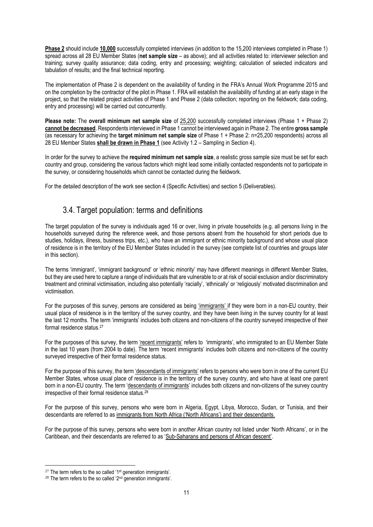**Phase 2** should include **10,000** successfully completed interviews (in addition to the 15,200 interviews completed in Phase 1) spread across all 28 EU Member States (**net sample size** – as above); and all activities related to: interviewer selection and training; survey quality assurance; data coding, entry and processing; weighting; calculation of selected indicators and tabulation of results; and the final technical reporting.

The implementation of Phase 2 is dependent on the availability of funding in the FRA's Annual Work Programme 2015 and on the completion by the contractor of the pilot in Phase 1. FRA will establish the availability of funding at an early stage in the project, so that the related project activities of Phase 1 and Phase 2 (data collection; reporting on the fieldwork; data coding, entry and processing) will be carried out concurrently.

**Please note:** The **overall minimum net sample size** of 25,200 successfully completed interviews (Phase 1 + Phase 2) **cannot be decreased**. Respondents interviewed in Phase 1 cannot be interviewed again in Phase 2. The entire **gross sample** (as necessary for achieving the **target minimum net sample size** of Phase 1 + Phase 2: n=25,200 respondents) across all 28 EU Member States **shall be drawn in Phase 1** (see Activity 1.2 – Sampling in Section 4).

In order for the survey to achieve the **required minimum net sample size**, a realistic gross sample size must be set for each country and group, considering the various factors which might lead some initially contacted respondents not to participate in the survey, or considering households which cannot be contacted during the fieldwork.

<span id="page-10-0"></span>For the detailed description of the work see section 4 (Specific Activities) and section 5 (Deliverables).

### 3.4. Target population: terms and definitions

The target population of the survey is individuals aged 16 or over, living in private households (e.g. all persons living in the households surveyed during the reference week, and those persons absent from the household for short periods due to studies, holidays, illness, business trips, etc.), who have an immigrant or ethnic minority background and whose usual place of residence is in the territory of the EU Member States included in the survey (see complete list of countries and groups later in this section).

The terms 'immigrant', 'immigrant background' or 'ethnic minority' may have different meanings in different Member States, but they are used here to capture a range of individuals that are vulnerable to or at risk of social exclusion and/or discriminatory treatment and criminal victimisation, including also potentially 'racially', 'ethnically' or 'religiously' motivated discrimination and victimisation.

For the purposes of this survey, persons are considered as being 'immigrants' if they were born in a non-EU country, their usual place of residence is in the territory of the survey country, and they have been living in the survey country for at least the last 12 months. The term 'immigrants' includes both citizens and non-citizens of the country surveyed irrespective of their formal residence status. 27

For the purposes of this survey, the term 'recent immigrants' refers to 'immigrants', who immigrated to an EU Member State in the last 10 years (from 2004 to date). The term 'recent immigrants' includes both citizens and non-citizens of the country surveyed irrespective of their formal residence status.

For the purpose of this survey, the term 'descendants of immigrants' refers to persons who were born in one of the current EU Member States, whose usual place of residence is in the territory of the survey country, and who have at least one parent born in a non-EU country. The term 'descendants of immigrants' includes both citizens and non-citizens of the survey country irrespective of their formal residence status.<sup>28</sup>

For the purpose of this survey, persons who were born in Algeria, Egypt, Libya, Morocco, Sudan, or Tunisia, and their descendants are referred to as immigrants from North Africa ('North Africans') and their descendants.

For the purpose of this survey, persons who were born in another African country not listed under 'North Africans', or in the Caribbean, and their descendants are referred to as 'Sub-Saharans and persons of African descent'.

<u>.</u>

 $27$  The term refers to the so called '1<sup>st</sup> generation immigrants'.

 $28$  The term refers to the so called ' $2<sup>nd</sup>$  generation immigrants'.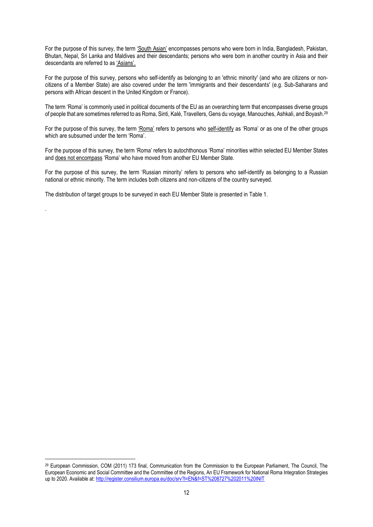For the purpose of this survey, the term 'South Asian' encompasses persons who were born in India, Bangladesh, Pakistan, Bhutan, Nepal, Sri Lanka and Maldives and their descendants; persons who were born in another country in Asia and their descendants are referred to as 'Asians'.

For the purpose of this survey, persons who self-identify as belonging to an 'ethnic minority' (and who are citizens or noncitizens of a Member State) are also covered under the term 'immigrants and their descendants' (e.g. Sub-Saharans and persons with African descent in the United Kingdom or France).

The term 'Roma' is commonly used in political documents of the EU as an overarching term that encompasses diverse groups of people that are sometimes referred to as Roma, Sinti, Kalé, Travellers, Gens du voyage, Manouches, Ashkali, and Boyash.<sup>29</sup>

For the purpose of this survey, the term 'Roma' refers to persons who self-identify as 'Roma' or as one of the other groups which are subsumed under the term 'Roma'.

For the purpose of this survey, the term 'Roma' refers to autochthonous 'Roma' minorities within selected EU Member States and does not encompass 'Roma' who have moved from another EU Member State.

For the purpose of this survey, the term 'Russian minority' refers to persons who self-identify as belonging to a Russian national or ethnic minority. The term includes both citizens and non-citizens of the country surveyed.

The distribution of target groups to be surveyed in each EU Member State is presented in Table 1.

.

1

<sup>&</sup>lt;sup>29</sup> European Commission, COM (2011) 173 final, Communication from the Commission to the European Parliament. The Council, The European Economic and Social Committee and the Committee of the Regions, An EU Framework for National Roma Integration Strategies up to 2020. Available at[: http://register.consilium.europa.eu/doc/srv?l=EN&f=ST%208727%202011%20INIT](http://register.consilium.europa.eu/doc/srv?l=EN&f=ST%208727%202011%20INIT)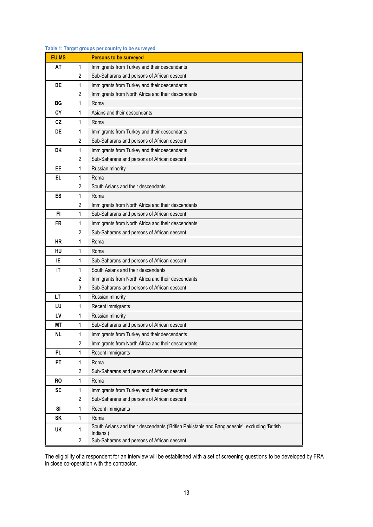| <b>EU MS</b> |                         | <b>Persons to be surveyed</b>                                                                              |
|--------------|-------------------------|------------------------------------------------------------------------------------------------------------|
| AT           | 1                       | Immigrants from Turkey and their descendants                                                               |
|              | 2                       | Sub-Saharans and persons of African descent                                                                |
| <b>BE</b>    | 1                       | Immigrants from Turkey and their descendants                                                               |
|              | 2                       | Immigrants from North Africa and their descendants                                                         |
| ВG           | 1                       | Roma                                                                                                       |
| CY           | 1                       | Asians and their descendants                                                                               |
| <b>CZ</b>    | 1                       | Roma                                                                                                       |
| DE           | 1                       | Immigrants from Turkey and their descendants                                                               |
|              | 2                       | Sub-Saharans and persons of African descent                                                                |
| <b>DK</b>    | 1                       | Immigrants from Turkey and their descendants                                                               |
|              | 2                       | Sub-Saharans and persons of African descent                                                                |
| EE           | 1                       | Russian minority                                                                                           |
| EL           | 1                       | Roma                                                                                                       |
|              | 2                       | South Asians and their descendants                                                                         |
| ES           | 1                       | Roma                                                                                                       |
|              | $\overline{2}$          | Immigrants from North Africa and their descendants                                                         |
| FI           | 1                       | Sub-Saharans and persons of African descent                                                                |
| FR           | 1                       | Immigrants from North Africa and their descendants                                                         |
|              | 2                       | Sub-Saharans and persons of African descent                                                                |
| <b>HR</b>    | 1                       | Roma                                                                                                       |
| HU           | 1                       | Roma                                                                                                       |
| ΙE           | 1                       | Sub-Saharans and persons of African descent                                                                |
| IT           | 1                       | South Asians and their descendants                                                                         |
|              | $\overline{2}$          | Immigrants from North Africa and their descendants                                                         |
|              | 3                       | Sub-Saharans and persons of African descent                                                                |
| LT           | 1                       | Russian minority                                                                                           |
| LU           | 1                       | Recent immigrants                                                                                          |
| LV           | 1                       | Russian minority                                                                                           |
| ΜT           | 1                       | Sub-Saharans and persons of African descent                                                                |
| <b>NL</b>    | 1                       | Immigrants from Turkey and their descendants                                                               |
|              | $\sqrt{2}$              | Immigrants from North Africa and their descendants                                                         |
| PL           | 1                       | Recent immigrants                                                                                          |
| PT           | 1                       | Roma                                                                                                       |
|              | 2                       | Sub-Saharans and persons of African descent                                                                |
| <b>RO</b>    | 1                       | Roma                                                                                                       |
| SE           | 1                       | Immigrants from Turkey and their descendants                                                               |
|              | $\overline{2}$          | Sub-Saharans and persons of African descent                                                                |
| SI           | 1                       | Recent immigrants                                                                                          |
| SK           | 1                       | Roma                                                                                                       |
| UK           | 1                       | South Asians and their descendants ('British Pakistanis and Bangladeshis', excluding 'British<br>Indians') |
|              | $\overline{\mathbf{c}}$ | Sub-Saharans and persons of African descent                                                                |

#### **Table 1: Target groups per country to be surveyed**

The eligibility of a respondent for an interview will be established with a set of screening questions to be developed by FRA in close co-operation with the contractor.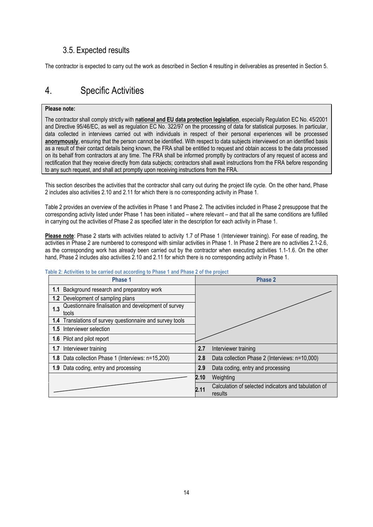### 3.5. Expected results

The contractor is expected to carry out the work as described in Section 4 resulting in deliverables as presented in Section 5.

## 4. Specific Activities

#### **Please note:**

The contractor shall comply strictly with **national and EU data protection legislation**, especially Regulation EC No. 45/2001 and Directive 95/46/EC, as well as regulation EC No. 322/97 on the processing of data for statistical purposes. In particular, data collected in interviews carried out with individuals in respect of their personal experiences will be processed **anonymously**, ensuring that the person cannot be identified. With respect to data subjects interviewed on an identified basis as a result of their contact details being known, the FRA shall be entitled to request and obtain access to the data processed on its behalf from contractors at any time. The FRA shall be informed promptly by contractors of any request of access and rectification that they receive directly from data subjects; contractors shall await instructions from the FRA before responding to any such request, and shall act promptly upon receiving instructions from the FRA.

This section describes the activities that the contractor shall carry out during the project life cycle. On the other hand, Phase 2 includes also activities 2.10 and 2.11 for which there is no corresponding activity in Phase 1.

Table 2 provides an overview of the activities in Phase 1 and Phase 2. The activities included in Phase 2 presuppose that the corresponding activity listed under Phase 1 has been initiated – where relevant – and that all the same conditions are fulfilled in carrying out the activities of Phase 2 as specified later in the description for each activity in Phase 1.

Please note: Phase 2 starts with activities related to activity 1.7 of Phase 1 (Interviewer training). For ease of reading, the activities in Phase 2 are numbered to correspond with similar activities in Phase 1. In Phase 2 there are no activities 2.1-2.6, as the corresponding work has already been carried out by the contractor when executing activities 1.1-1.6. On the other hand, Phase 2 includes also activities 2.10 and 2.11 for which there is no corresponding activity in Phase 1.

| Phase 1                                                              | Phase 2                                                                 |
|----------------------------------------------------------------------|-------------------------------------------------------------------------|
| 1.1 Background research and preparatory work                         |                                                                         |
| 1.2 Development of sampling plans                                    |                                                                         |
| Questionnaire finalisation and development of survey<br>1.3<br>tools |                                                                         |
| 1.4 Translations of survey questionnaire and survey tools            |                                                                         |
| 1.5 Interviewer selection                                            |                                                                         |
| 1.6 Pilot and pilot report                                           |                                                                         |
| 1.7 Interviewer training                                             | 2.7<br>Interviewer training                                             |
| 1.8 Data collection Phase 1 (Interviews: n=15,200)                   | Data collection Phase 2 (Interviews: n=10,000)<br>2.8                   |
| 1.9 Data coding, entry and processing                                | Data coding, entry and processing<br>2.9                                |
|                                                                      | Weighting<br>2.10                                                       |
|                                                                      | Calculation of selected indicators and tabulation of<br>2.11<br>results |

#### **Table 2: Activities to be carried out according to Phase 1 and Phase 2 of the project**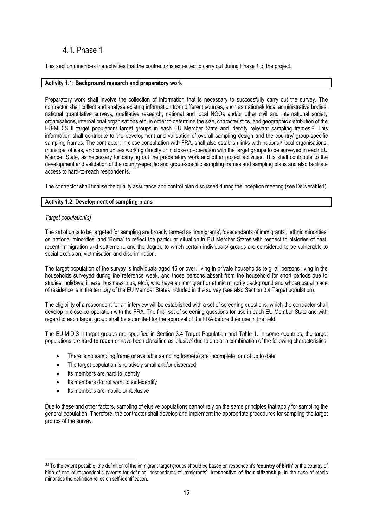### 4.1. Phase 1

This section describes the activities that the contractor is expected to carry out during Phase 1 of the project.

#### **Activity 1.1: Background research and preparatory work**

Preparatory work shall involve the collection of information that is necessary to successfully carry out the survey. The contractor shall collect and analyse existing information from different sources, such as national/ local administrative bodies, national quantitative surveys, qualitative research, national and local NGOs and/or other civil and international society organisations, international organisations etc. in order to determine the size, characteristics, and geographic distribution of the EU-MIDIS II target population/ target groups in each EU Member State and identify relevant sampling frames. <sup>30</sup> This information shall contribute to the development and validation of overall sampling design and the country/ group-specific sampling frames. The contractor, in close consultation with FRA, shall also establish links with national/ local organisations, municipal offices, and communities working directly or in close co-operation with the target groups to be surveyed in each EU Member State, as necessary for carrying out the preparatory work and other project activities. This shall contribute to the development and validation of the country-specific and group-specific sampling frames and sampling plans and also facilitate access to hard-to-reach respondents.

The contractor shall finalise the quality assurance and control plan discussed during the inception meeting (see Deliverable1).

#### **Activity 1.2: Development of sampling plans**

#### *Target population(s)*

The set of units to be targeted for sampling are broadly termed as 'immigrants', 'descendants of immigrants', 'ethnic minorities' or 'national minorities' and 'Roma' to reflect the particular situation in EU Member States with respect to histories of past, recent immigration and settlement, and the degree to which certain individuals/ groups are considered to be vulnerable to social exclusion, victimisation and discrimination.

The target population of the survey is individuals aged 16 or over, living in private households (e.g. all persons living in the households surveyed during the reference week, and those persons absent from the household for short periods due to studies, holidays, illness, business trips, etc.), who have an immigrant or ethnic minority background and whose usual place of residence is in the territory of the EU Member States included in the survey (see also Section 3.4 [Target population\)](#page-10-0).

The eligibility of a respondent for an interview will be established with a set of screening questions, which the contractor shall develop in close co-operation with the FRA. The final set of screening questions for use in each EU Member State and with regard to each target group shall be submitted for the approval of the FRA before their use in the field.

The EU-MIDIS II target groups are specified in Section 3.4 Target Population and Table 1. In some countries, the target populations are **hard to reach** or have been classified as 'elusive' due to one or a combination of the following characteristics:

- There is no sampling frame or available sampling frame(s) are incomplete, or not up to date
- The target population is relatively small and/or dispersed
- Its members are hard to identify

1

- Its members do not want to self-identify
- **Its members are mobile or reclusive**

Due to these and other factors, sampling of elusive populations cannot rely on the same principles that apply for sampling the general population. Therefore, the contractor shall develop and implement the appropriate procedures for sampling the target groups of the survey.

<sup>30</sup> To the extent possible, the definition of the immigrant target groups should be based on respondent's **'country of birth'** or the country of birth of one of respondent's parents for defining 'descendants of immigrants', **irrespective of their citizenship**. In the case of ethnic minorities the definition relies on self-identification.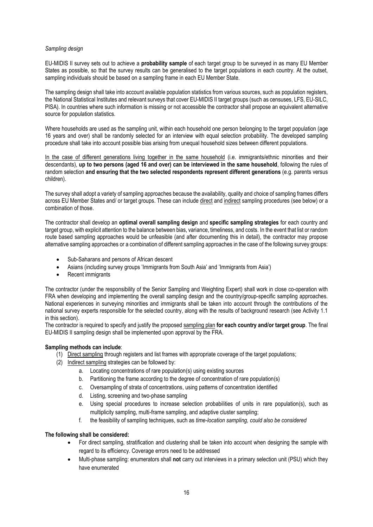#### *Sampling design*

EU-MIDIS II survey sets out to achieve a **probability sample** of each target group to be surveyed in as many EU Member States as possible, so that the survey results can be generalised to the target populations in each country. At the outset, sampling individuals should be based on a sampling frame in each EU Member State.

The sampling design shall take into account available population statistics from various sources, such as population registers, the National Statistical Institutes and relevant surveys that cover EU-MIDIS II target groups (such as censuses, LFS, EU-SILC, PISA). In countries where such information is missing or not accessible the contractor shall propose an equivalent alternative source for population statistics.

Where households are used as the sampling unit, within each household one person belonging to the target population (age 16 years and over) shall be randomly selected for an interview with equal selection probability. The developed sampling procedure shall take into account possible bias arising from unequal household sizes between different populations.

In the case of different generations living together in the same household (i.e. immigrants/ethnic minorities and their descendants), **up to two persons (aged 16 and over) can be interviewed in the same household**, following the rules of random selection **and ensuring that the two selected respondents represent different generations** (e.g. parents versus children).

The survey shall adopt a variety of sampling approaches because the availability, quality and choice of sampling frames differs across EU Member States and/ or target groups. These can include direct and indirect sampling procedures (see below) or a combination of those.

The contractor shall develop an **optimal overall sampling design** and **specific sampling strategies** for each country and target group, with explicit attention to the balance between bias, variance, timeliness, and costs. In the event that list or random route based sampling approaches would be unfeasible (and after documenting this in detail), the contractor may propose alternative sampling approaches or a combination of different sampling approaches in the case of the following survey groups:

- Sub-Saharans and persons of African descent
- Asians (including survey groups 'Immigrants from South Asia' and 'Immigrants from Asia')
- Recent immigrants

The contractor (under the responsibility of the Senior Sampling and Weighting Expert) shall work in close co-operation with FRA when developing and implementing the overall sampling design and the country/group-specific sampling approaches. National experiences in surveying minorities and immigrants shall be taken into account through the contributions of the national survey experts responsible for the selected country, along with the results of background research (see Activity 1.1 in this section).

The contractor is required to specify and justify the proposed sampling plan **for each country and/or target group**. The final EU-MIDIS II sampling design shall be implemented upon approval by the FRA.

#### **Sampling methods can include**:

- (1) Direct sampling through registers and list frames with appropriate coverage of the target populations;
- (2) Indirect sampling strategies can be followed by:
	- a. Locating concentrations of rare population(s) using existing sources
	- b. Partitioning the frame according to the degree of concentration of rare population(s)
	- c. Oversampling of strata of concentrations, using patterns of concentration identified
	- d. Listing, screening and two-phase sampling
	- e. Using special procedures to increase selection probabilities of units in rare population(s), such as multiplicity sampling, multi-frame sampling, and adaptive cluster sampling;
	- f. the feasibility of sampling techniques, such as *time-location sampling, could also be considered*

#### **The following shall be considered:**

- For direct sampling, stratification and clustering shall be taken into account when designing the sample with regard to its efficiency. Coverage errors need to be addressed
- Multi-phase sampling: enumerators shall **not** carry out interviews in a primary selection unit (PSU) which they have enumerated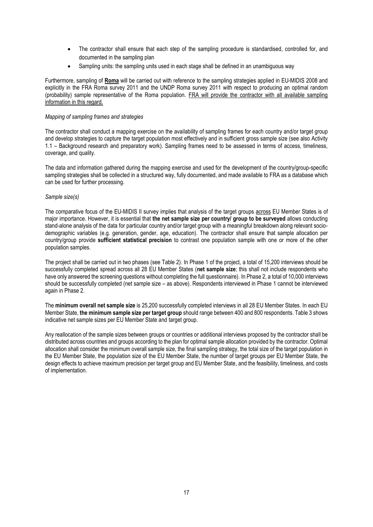- The contractor shall ensure that each step of the sampling procedure is standardised, controlled for, and documented in the sampling plan
- Sampling units: the sampling units used in each stage shall be defined in an unambiguous way

Furthermore, sampling of **Roma** will be carried out with reference to the sampling strategies applied in EU-MIDIS 2008 and explicitly in the FRA Roma survey 2011 and the UNDP Roma survey 2011 with respect to producing an optimal random (probability) sample representative of the Roma population. FRA will provide the contractor with all available sampling information in this regard.

#### *Mapping of sampling frames and strategies*

The contractor shall conduct a mapping exercise on the availability of sampling frames for each country and/or target group and develop strategies to capture the target population most effectively and in sufficient gross sample size (see also Activity 1.1 – Background research and preparatory work). Sampling frames need to be assessed in terms of access, timeliness, coverage, and quality.

The data and information gathered during the mapping exercise and used for the development of the country/group-specific sampling strategies shall be collected in a structured way, fully documented, and made available to FRA as a database which can be used for further processing.

#### *Sample size(s)*

The comparative focus of the EU-MIDIS II survey implies that analysis of the target groups across EU Member States is of major importance. However, it is essential that **the net sample size per country/ group to be surveyed** allows conducting stand-alone analysis of the data for particular country and/or target group with a meaningful breakdown along relevant sociodemographic variables (e.g. generation, gender, age, education). The contractor shall ensure that sample allocation per country/group provide **sufficient statistical precision** to contrast one population sample with one or more of the other population samples.

The project shall be carried out in two phases (see Table 2). In Phase 1 of the project, a total of 15,200 interviews should be successfully completed spread across all 28 EU Member States (**net sample size**; this shall not include respondents who have only answered the screening questions without completing the full questionnaire). In Phase 2, a total of 10,000 interviews should be successfully completed (net sample size – as above). Respondents interviewed in Phase 1 cannot be interviewed again in Phase 2.

The **minimum overall net sample size** is 25,200 successfully completed interviews in all 28 EU Member States. In each EU Member State, **the minimum sample size per target group** should range between 400 and 800 respondents. Table 3 shows indicative net sample sizes per EU Member State and target group.

Any reallocation of the sample sizes between groups or countries or additional interviews proposed by the contractor shall be distributed across countries and groups according to the plan for optimal sample allocation provided by the contractor. Optimal allocation shall consider the minimum overall sample size, the final sampling strategy, the total size of the target population in the EU Member State, the population size of the EU Member State, the number of target groups per EU Member State, the design effects to achieve maximum precision per target group and EU Member State, and the feasibility, timeliness, and costs of implementation.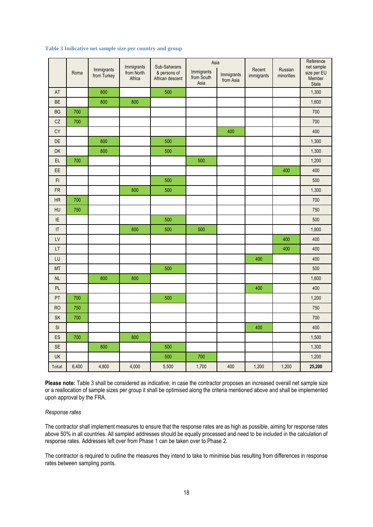#### **Table 3 Indicative net sample size per country and group**

|                        | Roma  | Immigrants<br>from Turkey | Immigrants<br>from North<br>Africa | Sub-Saharans<br>& persons of<br>African descent | Asia<br>Immigrants<br>Immigrants<br>from South<br>from Asia<br>Asia |     | Recent<br>immigrants | Russian<br>minorities | Reference<br>net sample<br>size per EU<br>Member<br>State |  |
|------------------------|-------|---------------------------|------------------------------------|-------------------------------------------------|---------------------------------------------------------------------|-----|----------------------|-----------------------|-----------------------------------------------------------|--|
| AT                     |       | 800                       |                                    | 500                                             |                                                                     |     |                      |                       | 1,300                                                     |  |
| <b>BE</b>              |       | 800                       | 800                                |                                                 |                                                                     |     |                      |                       | 1,600                                                     |  |
| <b>BG</b>              | 700   |                           |                                    |                                                 |                                                                     |     |                      |                       | 700                                                       |  |
| CZ                     | 700   |                           |                                    |                                                 |                                                                     |     |                      |                       | 700                                                       |  |
| CY                     |       |                           |                                    |                                                 |                                                                     | 400 |                      |                       | 400                                                       |  |
| DE                     |       | 800                       |                                    | 500                                             |                                                                     |     |                      |                       | 1,300                                                     |  |
| DK                     |       | 800                       |                                    | 500                                             |                                                                     |     |                      |                       | 1,300                                                     |  |
| EL.                    | 700   |                           |                                    |                                                 | 500                                                                 |     |                      |                       | 1,200                                                     |  |
| EE                     |       |                           |                                    |                                                 |                                                                     |     |                      | 400                   | 400                                                       |  |
| $\mathsf{FI}$          |       |                           |                                    | 500                                             |                                                                     |     |                      |                       | 500                                                       |  |
| <b>FR</b>              |       |                           | 800                                | 500                                             |                                                                     |     |                      |                       | 1,300                                                     |  |
| <b>HR</b>              | 700   |                           |                                    |                                                 |                                                                     |     |                      |                       | 700                                                       |  |
| HU                     | 750   |                           |                                    |                                                 |                                                                     |     |                      |                       | 750                                                       |  |
| IE                     |       |                           |                                    | 500                                             |                                                                     |     |                      |                       | 500                                                       |  |
| $\mathsf{I}\mathsf{T}$ |       |                           | 800                                | 500                                             | 500                                                                 |     |                      |                       | 1,800                                                     |  |
| LV                     |       |                           |                                    |                                                 |                                                                     |     |                      | 400                   | 400                                                       |  |
| LT                     |       |                           |                                    |                                                 |                                                                     |     |                      | 400                   | 400                                                       |  |
| LU                     |       |                           |                                    |                                                 |                                                                     |     | 400                  |                       | 400                                                       |  |
| <b>MT</b>              |       |                           |                                    | 500                                             |                                                                     |     |                      |                       | 500                                                       |  |
| <b>NL</b>              |       | 800                       | 800                                |                                                 |                                                                     |     |                      |                       | 1,600                                                     |  |
| PL                     |       |                           |                                    |                                                 |                                                                     |     | 400                  |                       | 400                                                       |  |
| PT                     | 700   |                           |                                    | 500                                             |                                                                     |     |                      |                       | 1,200                                                     |  |
| <b>RO</b>              | 750   |                           |                                    |                                                 |                                                                     |     |                      |                       | 750                                                       |  |
| <b>SK</b>              | 700   |                           |                                    |                                                 |                                                                     |     |                      |                       | 700                                                       |  |
| SI                     |       |                           |                                    |                                                 |                                                                     |     | 400                  |                       | 400                                                       |  |
| ES                     | 700   |                           | 800                                |                                                 |                                                                     |     |                      |                       | 1,500                                                     |  |
| <b>SE</b>              |       | 800                       |                                    | 500                                             |                                                                     |     |                      |                       | 1,300                                                     |  |
| UK                     |       |                           |                                    | 500                                             | 700                                                                 |     |                      |                       | 1,200                                                     |  |
| Total                  | 6,400 | 4,800                     | 4,000                              | 5,500                                           | 1,700                                                               | 400 | 1,200                | 1,200                 | 25,200                                                    |  |

**Please note:** Table 3 shall be considered as indicative; in case the contractor proposes an increased overall net sample size or a reallocation of sample sizes per group it shall be optimised along the criteria mentioned above and shall be implemented upon approval by the FRA.

#### *Response rates*

The contractor shall implement measures to ensure that the response rates are as high as possible, aiming for response rates above 50% in all countries. All sampled addresses should be equally processed and need to be included in the calculation of response rates. Addresses left over from Phase 1 can be taken over to Phase 2.

The contractor is required to outline the measures they intend to take to minimise bias resulting from differences in response rates between sampling points.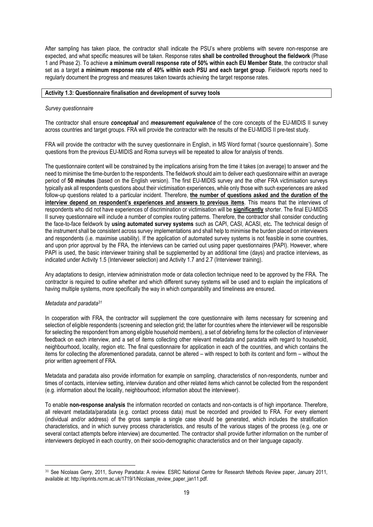After sampling has taken place, the contractor shall indicate the PSU's where problems with severe non-response are expected, and what specific measures will be taken. Response rates **shall be controlled throughout the fieldwork** (Phase 1 and Phase 2). To achieve **a minimum overall response rate of 50% within each EU Member State**, the contractor shall set as a target **a minimum response rate of 40% within each PSU and each target group**. Fieldwork reports need to regularly document the progress and measures taken towards achieving the target response rates.

#### **Activity 1.3: Questionnaire finalisation and development of survey tools**

#### *Survey questionnaire*

The contractor shall ensure *conceptual* and *measurement equivalence* of the core concepts of the EU-MIDIS II survey across countries and target groups. FRA will provide the contractor with the results of the EU-MIDIS II pre-test study.

FRA will provide the contractor with the survey questionnaire in English, in MS Word format ('source questionnaire'). Some questions from the previous EU-MIDIS and Roma surveys will be repeated to allow for analysis of trends.

The questionnaire content will be constrained by the implications arising from the time it takes (on average) to answer and the need to minimise the time-burden to the respondents. The fieldwork should aim to deliver each questionnaire within an average period of **50 minutes** (based on the English version). The first EU-MIDIS survey and the other FRA victimisation surveys typically ask all respondents questions about their victimisation experiences, while only those with such experiences are asked follow-up questions related to a particular incident. Therefore, **the number of questions asked and the duration of the interview depend on respondent's experiences and answers to previous items**. This means that the interviews of respondents who did not have experiences of discrimination or victimisation will be **significantly** shorter. The final EU-MIDIS II survey questionnaire will include a number of complex routing patterns. Therefore, the contractor shall consider conducting the face-to-face fieldwork by **using automated survey systems** such as CAPI, CASI, ACASI, etc**.** The technical design of the instrument shall be consistent across survey implementations and shall help to minimise the burden placed on interviewers and respondents (i.e. maximise usability). If the application of automated survey systems is not feasible in some countries, and upon prior approval by the FRA, the interviews can be carried out using paper questionnaires (PAPI). However, where PAPI is used, the basic interviewer training shall be supplemented by an additional time (days) and practice interviews, as indicated under Activity 1.5 (Interviewer selection) and Activity 1.7 and 2.7 (Interviewer training).

Any adaptations to design, interview administration mode or data collection technique need to be approved by the FRA. The contractor is required to outline whether and which different survey systems will be used and to explain the implications of having multiple systems, more specifically the way in which comparability and timeliness are ensured.

#### *Metadata and paradata<sup>31</sup>*

In cooperation with FRA, the contractor will supplement the core questionnaire with items necessary for screening and selection of eligible respondents (screening and selection grid; the latter for countries where the interviewer will be responsible for selecting the respondent from among eligible household members), a set of debriefing items for the collection of interviewer feedback on each interview, and a set of items collecting other relevant metadata and paradata with regard to household, neighbourhood, locality, region etc. The final questionnaire for application in each of the countries, and which contains the items for collecting the aforementioned paradata, cannot be altered – with respect to both its content and form – without the prior written agreement of FRA.

Metadata and paradata also provide information for example on sampling, characteristics of non-respondents, number and times of contacts, interview setting, interview duration and other related items which cannot be collected from the respondent (e.g. information about the locality, neighbourhood; information about the interviewer).

To enable **non-response analysis** the information recorded on contacts and non-contacts is of high importance. Therefore, all relevant metadata/paradata (e.g. contact process data) must be recorded and provided to FRA. For every element (individual and/or address) of the gross sample a single case should be generated, which includes the stratification characteristics, and in which survey process characteristics, and results of the various stages of the process (e.g. one or several contact attempts before interview) are documented. The contractor shall provide further information on the number of interviewers deployed in each country, on their socio-demographic characteristics and on their language capacity.

<sup>&</sup>lt;u>.</u> <sup>31</sup> See Nicolaas Gerry, 2011, Survey Paradata: A review. ESRC National Centre for Research Methods Review paper, January 2011. available at[: http://eprints.ncrm.ac.uk/1719/1/Nicolaas\\_review\\_paper\\_jan11.pdf.](http://eprints.ncrm.ac.uk/1719/1/Nicolaas_review_paper_jan11.pdf)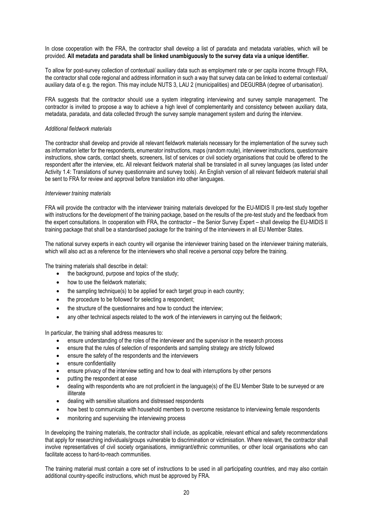In close cooperation with the FRA, the contractor shall develop a list of paradata and metadata variables, which will be provided. **All metadata and paradata shall be linked unambiguously to the survey data via a unique identifier.** 

To allow for post-survey collection of contextual/ auxiliary data such as employment rate or per capita income through FRA, the contractor shall code regional and address information in such a way that survey data can be linked to external contextual/ auxiliary data of e.g. the region. This may include NUTS 3, LAU 2 (municipalities) and DEGURBA (degree of urbanisation).

FRA suggests that the contractor should use a system integrating interviewing and survey sample management. The contractor is invited to propose a way to achieve a high level of complementarity and consistency between auxiliary data, metadata, paradata, and data collected through the survey sample management system and during the interview.

#### *Additional fieldwork materials*

The contractor shall develop and provide all relevant fieldwork materials necessary for the implementation of the survey such as information letter for the respondents, enumerator instructions, maps (random route), interviewer instructions, questionnaire instructions, show cards, contact sheets, screeners, list of services or civil society organisations that could be offered to the respondent after the interview, etc. All relevant fieldwork material shall be translated in all survey languages (as listed under Activity 1.4: Translations of survey questionnaire and survey tools). An English version of all relevant fieldwork material shall be sent to FRA for review and approval before translation into other languages.

#### *Interviewer training materials*

FRA will provide the contractor with the interviewer training materials developed for the EU-MIDIS II pre-test study together with instructions for the development of the training package, based on the results of the pre-test study and the feedback from the expert consultations. In cooperation with FRA, the contractor – the Senior Survey Expert – shall develop the EU-MIDIS II training package that shall be a standardised package for the training of the interviewers in all EU Member States.

The national survey experts in each country will organise the interviewer training based on the interviewer training materials, which will also act as a reference for the interviewers who shall receive a personal copy before the training.

The training materials shall describe in detail:

- the background, purpose and topics of the study;
- how to use the fieldwork materials;
- the sampling technique(s) to be applied for each target group in each country;
- the procedure to be followed for selecting a respondent;
- the structure of the questionnaires and how to conduct the interview;
- any other technical aspects related to the work of the interviewers in carrying out the fieldwork;

In particular, the training shall address measures to:

- ensure understanding of the roles of the interviewer and the supervisor in the research process
- ensure that the rules of selection of respondents and sampling strategy are strictly followed
- ensure the safety of the respondents and the interviewers
- ensure confidentiality
- ensure privacy of the interview setting and how to deal with interruptions by other persons
- putting the respondent at ease
- dealing with respondents who are not proficient in the language(s) of the EU Member State to be surveyed or are illiterate
- dealing with sensitive situations and distressed respondents
- how best to communicate with household members to overcome resistance to interviewing female respondents
- monitoring and supervising the interviewing process

In developing the training materials, the contractor shall include, as applicable, relevant ethical and safety recommendations that apply for researching individuals/groups vulnerable to discrimination or victimisation. Where relevant, the contractor shall involve representatives of civil society organisations, immigrant/ethnic communities, or other local organisations who can facilitate access to hard-to-reach communities.

The training material must contain a core set of instructions to be used in all participating countries, and may also contain additional country-specific instructions, which must be approved by FRA.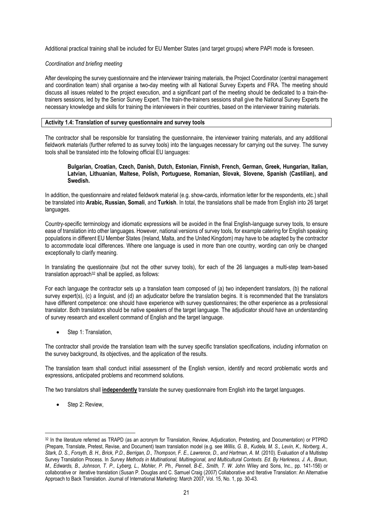Additional practical training shall be included for EU Member States (and target groups) where PAPI mode is foreseen.

#### *Coordination and briefing meeting*

After developing the survey questionnaire and the interviewer training materials, the Project Coordinator (central management and coordination team) shall organise a two-day meeting with all National Survey Experts and FRA. The meeting should discuss all issues related to the project execution, and a significant part of the meeting should be dedicated to a train-thetrainers sessions, led by the Senior Survey Expert. The train-the-trainers sessions shall give the National Survey Experts the necessary knowledge and skills for training the interviewers in their countries, based on the interviewer training materials.

#### **Activity 1.4: Translation of survey questionnaire and survey tools**

The contractor shall be responsible for translating the questionnaire, the interviewer training materials, and any additional fieldwork materials (further referred to as survey tools) into the languages necessary for carrying out the survey. The survey tools shall be translated into the following official EU languages:

#### **Bulgarian, Croatian, Czech, Danish, Dutch, Estonian, Finnish, French, German, Greek, Hungarian, Italian, Latvian, Lithuanian, Maltese, Polish, Portuguese, Romanian, Slovak, Slovene, Spanish (Castilian), and Swedish.**

In addition, the questionnaire and related fieldwork material (e.g. show-cards, information letter for the respondents, etc.) shall be translated into **Arabic, Russian, Somali**, and **Turkish**. In total, the translations shall be made from English into 26 target languages.

Country-specific terminology and idiomatic expressions will be avoided in the final English-language survey tools, to ensure ease of translation into other languages. However, national versions of survey tools, for example catering for English speaking populations in different EU Member States (Ireland, Malta, and the United Kingdom) may have to be adapted by the contractor to accommodate local differences. Where one language is used in more than one country, wording can only be changed exceptionally to clarify meaning.

In translating the questionnaire (but not the other survey tools), for each of the 26 languages a multi-step team-based translation approach $32$  shall be applied, as follows:

For each language the contractor sets up a translation team composed of (a) two independent translators, (b) the national survey expert(s), (c) a linguist, and (d) an adjudicator before the translation begins. It is recommended that the translators have different competence: one should have experience with survey questionnaires; the other experience as a professional translator. Both translators should be native speakers of the target language. The adjudicator should have an understanding of survey research and excellent command of English and the target language.

Step 1: Translation,

The contractor shall provide the translation team with the survey specific translation specifications, including information on the survey background, its objectives, and the application of the results.

The translation team shall conduct initial assessment of the English version, identify and record problematic words and expressions, anticipated problems and recommend solutions.

The two translators shall **independently** translate the survey questionnaire from English into the target languages.

Step 2: Review,

1

<sup>32</sup> In the literature referred as TRAPD (as an acronym for Translation, Review, Adjudication, Pretesting, and Documentation) or PTPRD (Prepare, Translate, Pretest, Revise, and Document) team translation model (e.g. see *Willis, G. B., Kudela, M. S., Levin, K., Norberg, A.,*  Stark, D. S., Forsyth, B. H., Brick, P.D., Berrigan, D., Thompson, F. E., Lawrence, D., and Hartman, A. M. (2010). Evaluation of a Multistep Survey Translation Process. In *Survey Methods in Multinational, Multiregional, and Multicultural Contexts. Ed. By Harkness, J. A., Braun, M., Edwards, B., Johnson, T. P., Lyberg, L., Mohler, P. Ph., Pennell, B-E., Smith, T. W. John Wiley and Sons, Inc., pp. 141-156) or* collaborative or iterative translation (Susan P. Douglas and C. Samuel Craig (*2007*) Collaborative and Iterative Translation: An Alternative Approach to Back Translation. Journal of International Marketing: March 2007, Vol. 15, No. 1, pp. 30-43.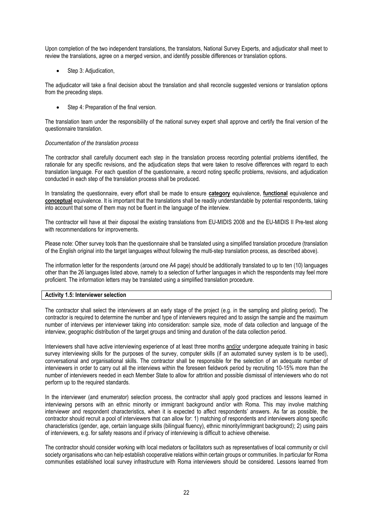Upon completion of the two independent translations, the translators, National Survey Experts, and adjudicator shall meet to review the translations, agree on a merged version, and identify possible differences or translation options.

Step 3: Adjudication,

The adjudicator will take a final decision about the translation and shall reconcile suggested versions or translation options from the preceding steps.

Step 4: Preparation of the final version.

The translation team under the responsibility of the national survey expert shall approve and certify the final version of the questionnaire translation.

#### *Documentation of the translation process*

The contractor shall carefully document each step in the translation process recording potential problems identified, the rationale for any specific revisions, and the adjudication steps that were taken to resolve differences with regard to each translation language. For each question of the questionnaire, a record noting specific problems, revisions, and adjudication conducted in each step of the translation process shall be produced.

In translating the questionnaire, every effort shall be made to ensure **category** equivalence, **functional** equivalence and **conceptual** equivalence. It is important that the translations shall be readily understandable by potential respondents, taking into account that some of them may not be fluent in the language of the interview.

The contractor will have at their disposal the existing translations from EU-MIDIS 2008 and the EU-MIDIS II Pre-test along with recommendations for improvements.

Please note: Other survey tools than the questionnaire shall be translated using a simplified translation procedure (translation of the English original into the target languages without following the multi-step translation process, as described above).

The information letter for the respondents (around one A4 page) should be additionally translated to up to ten (10) languages other than the 26 languages listed above, namely to a selection of further languages in which the respondents may feel more proficient. The information letters may be translated using a simplified translation procedure.

#### **Activity 1.5: Interviewer selection**

The contractor shall select the interviewers at an early stage of the project (e.g. in the sampling and piloting period). The contractor is required to determine the number and type of interviewers required and to assign the sample and the maximum number of interviews per interviewer taking into consideration: sample size, mode of data collection and language of the interview, geographic distribution of the target groups and timing and duration of the data collection period.

Interviewers shall have active interviewing experience of at least three months and/or undergone adequate training in basic survey interviewing skills for the purposes of the survey, computer skills (if an automated survey system is to be used), conversational and organisational skills. The contractor shall be responsible for the selection of an adequate number of interviewers in order to carry out all the interviews within the foreseen fieldwork period by recruiting 10-15% more than the number of interviewers needed in each Member State to allow for attrition and possible dismissal of interviewers who do not perform up to the required standards.

In the interviewer (and enumerator) selection process, the contractor shall apply good practices and lessons learned in interviewing persons with an ethnic minority or immigrant background and/or with Roma. This may involve matching interviewer and respondent characteristics, when it is expected to affect respondents' answers. As far as possible, the contractor should recruit a pool of interviewers that can allow for: 1) matching of respondents and interviewers along specific characteristics (gender, age, certain language skills (bilingual fluency), ethnic minority/immigrant background); 2) using pairs of interviewers, e.g. for safety reasons and if privacy of interviewing is difficult to achieve otherwise.

The contractor should consider working with local mediators or facilitators such as representatives of local community or civil society organisations who can help establish cooperative relations within certain groups or communities. In particular for Roma communities established local survey infrastructure with Roma interviewers should be considered. Lessons learned from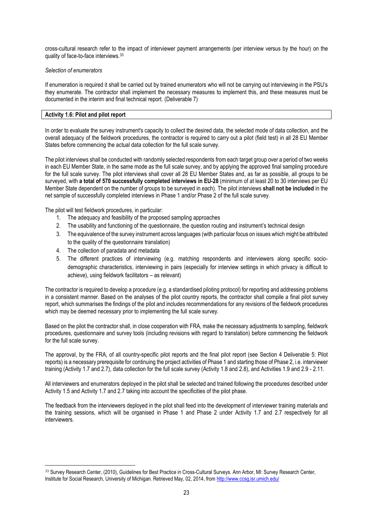cross-cultural research refer to the impact of interviewer payment arrangements (per interview versus by the hour) on the quality of face-to-face interviews.<sup>33</sup>

#### *Selection of enumerators*

If enumeration is required it shall be carried out by trained enumerators who will not be carrying out interviewing in the PSU's they enumerate. The contractor shall implement the necessary measures to implement this, and these measures must be documented in the interim and final technical report. (Deliverable 7)

#### **Activity 1.6: Pilot and pilot report**

In order to evaluate the survey instrument's capacity to collect the desired data, the selecte[d mode](http://ccsg.isr.umich.edu/pretesting.cfm#Mode) of data collection, and the overall adequacy of the fieldwork procedures, the contractor is required to carry out a pilot (field test) in all 28 EU Member States before commencing the actual data collection for the full scale survey.

The pilot interviews shall be conducted with randomly selected respondents from each target group over a period of two weeks in each EU Member State, in the same mode as the full scale survey, and by applying the approved final sampling procedure for the full scale survey. The pilot interviews shall cover all 28 EU Member States and, as far as possible, all groups to be surveyed, with **a total of 570 successfully completed interviews in EU-28** (minimum of at least 20 to 30 interviews per EU Member State dependent on the number of groups to be surveyed in each). The pilot interviews **shall not be included** in the net sample of successfully completed interviews in Phase 1 and/or Phase 2 of the full scale survey.

The pilot will test fieldwork procedures, in particular:

- 1. The adequacy and feasibility of the proposed sampling approaches
- 2. The usability and functioning of the questionnaire, the question routing and instrument's technical design
- 3. The equivalence of the survey instrument across languages (with particular focus on issues which might be attributed to the quality of the questionnaire translation)
- 4. The collection of paradata and metadata
- 5. The different practices of interviewing (e.g. matching respondents and interviewers along specific sociodemographic characteristics, interviewing in pairs (especially for interview settings in which privacy is difficult to achieve), using fieldwork facilitators – as relevant)

The contractor is required to develop a procedure (e.g. a standardised piloting protocol) for reporting and addressing problems in a consistent manner. Based on the analyses of the pilot country reports, the contractor shall compile a final pilot survey report, which summarises the findings of the pilot and includes recommendations for any revisions of the fieldwork procedures which may be deemed necessary prior to implementing the full scale survey.

Based on the pilot the contractor shall, in close cooperation with FRA, make the necessary adjustments to sampling, fieldwork procedures, questionnaire and survey tools (including revisions with regard to translation) before commencing the fieldwork for the full scale survey.

The approval, by the FRA, of all country-specific pilot reports and the final pilot report (see Section 4 Deliverable 5: Pilot reports) is a necessary prerequisite for continuing the project activities of Phase 1 and starting those of Phase 2, i.e. interviewer training (Activity 1.7 and 2.7), data collection for the full scale survey (Activity 1.8 and 2.8), and Activities 1.9 and 2.9 - 2.11.

All interviewers and enumerators deployed in the pilot shall be selected and trained following the procedures described under Activity 1.5 and Activity 1.7 and 2.7 taking into account the specificities of the pilot phase.

The feedback from the interviewers deployed in the pilot shall feed into the development of interviewer training materials and the training sessions, which will be organised in Phase 1 and Phase 2 under Activity 1.7 and 2.7 respectively for all interviewers.

<sup>&</sup>lt;u>.</u> 33 Survey Research Center, (2010), Guidelines for Best Practice in Cross-Cultural Surveys. Ann Arbor, MI: Survey Research Center, Institute for Social Research, University of Michigan. Retrieved May, 02, 2014, from http://www.ccsg.isr.umich.edu/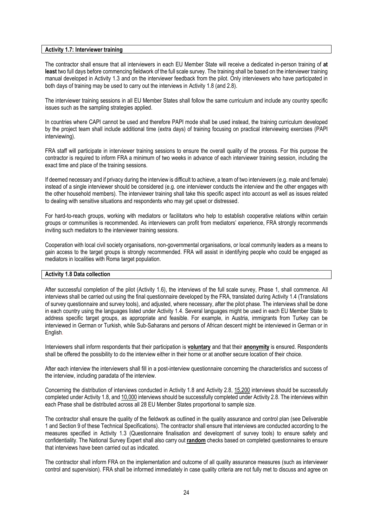#### **Activity 1.7: Interviewer training**

The contractor shall ensure that all interviewers in each EU Member State will receive a dedicated in-person training of **at least** two full days before commencing fieldwork of the full scale survey. The training shall be based on the interviewer training manual developed in Activity 1.3 and on the interviewer feedback from the pilot. Only interviewers who have participated in both days of training may be used to carry out the interviews in Activity 1.8 (and 2.8).

The interviewer training sessions in all EU Member States shall follow the same curriculum and include any country specific issues such as the sampling strategies applied.

In countries where CAPI cannot be used and therefore PAPI mode shall be used instead, the training curriculum developed by the project team shall include additional time (extra days) of training focusing on practical interviewing exercises (PAPI interviewing).

FRA staff will participate in interviewer training sessions to ensure the overall quality of the process. For this purpose the contractor is required to inform FRA a minimum of two weeks in advance of each interviewer training session, including the exact time and place of the training sessions.

If deemed necessary and if privacy during the interview is difficult to achieve, a team of two interviewers (e.g. male and female) instead of a single interviewer should be considered (e.g. one interviewer conducts the interview and the other engages with the other household members). The interviewer training shall take this specific aspect into account as well as issues related to dealing with sensitive situations and respondents who may get upset or distressed.

For hard-to-reach groups, working with mediators or facilitators who help to establish cooperative relations within certain groups or communities is recommended. As interviewers can profit from mediators' experience, FRA strongly recommends inviting such mediators to the interviewer training sessions.

Cooperation with local civil society organisations, non-governmental organisations, or local community leaders as a means to gain access to the target groups is strongly recommended. FRA will assist in identifying people who could be engaged as mediators in localities with Roma target population.

#### **Activity 1.8 Data collection**

After successful completion of the pilot (Activity 1.6), the interviews of the full scale survey, Phase 1, shall commence. All interviews shall be carried out using the final questionnaire developed by the FRA, translated during Activity 1.4 (Translations of survey questionnaire and survey tools), and adjusted, where necessary, after the pilot phase. The interviews shall be done in each country using the languages listed under Activity 1.4. Several languages might be used in each EU Member State to address specific target groups, as appropriate and feasible. For example, in Austria, immigrants from Turkey can be interviewed in German or Turkish, while Sub-Saharans and persons of African descent might be interviewed in German or in English.

Interviewers shall inform respondents that their participation is **voluntary** and that their **anonymity** is ensured. Respondents shall be offered the possibility to do the interview either in their home or at another secure location of their choice.

After each interview the interviewers shall fill in a post-interview questionnaire concerning the characteristics and success of the interview, including paradata of the interview.

Concerning the distribution of interviews conducted in Activity 1.8 and Activity 2.8, 15,200 interviews should be successfully completed under Activity 1.8, and 10,000 interviews should be successfully completed under Activity 2.8. The interviews within each Phase shall be distributed across all 28 EU Member States proportional to sample size.

The contractor shall ensure the quality of the fieldwork as outlined in the quality assurance and control plan (see Deliverable 1 and Section 9 of these Technical Specifications). The contractor shall ensure that interviews are conducted according to the measures specified in Activity 1.3 (Questionnaire finalisation and development of survey tools) to ensure safety and confidentiality. The National Survey Expert shall also carry out **random** checks based on completed questionnaires to ensure that interviews have been carried out as indicated.

The contractor shall inform FRA on the implementation and outcome of all quality assurance measures (such as interviewer control and supervision). FRA shall be informed immediately in case quality criteria are not fully met to discuss and agree on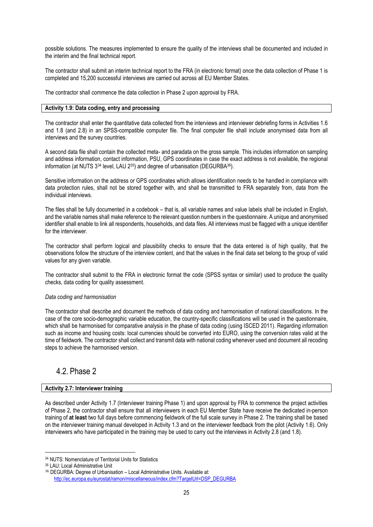possible solutions. The measures implemented to ensure the quality of the interviews shall be documented and included in the interim and the final technical report.

The contractor shall submit an interim technical report to the FRA (in electronic format) once the data collection of Phase 1 is completed and 15,200 successful interviews are carried out across all EU Member States.

The contractor shall commence the data collection in Phase 2 upon approval by FRA.

#### **Activity 1.9: Data coding, entry and processing**

The contractor shall enter the quantitative data collected from the interviews and interviewer debriefing forms in Activities 1.6 and 1.8 (and 2.8) in an SPSS-compatible computer file. The final computer file shall include anonymised data from all interviews and the survey countries.

A second data file shall contain the collected meta- and paradata on the gross sample. This includes information on sampling and address information, contact information, PSU, GPS coordinates in case the exact address is not available, the regional information (at NUTS 3<sup>34</sup> level, LAU 235) and degree of urbanisation (DEGURBA36).

Sensitive information on the address or GPS coordinates which allows identification needs to be handled in compliance with data protection rules, shall not be stored together with, and shall be transmitted to FRA separately from, data from the individual interviews.

The files shall be fully documented in a codebook – that is, all variable names and value labels shall be included in English, and the variable names shall make reference to the relevant question numbers in the questionnaire. A unique and anonymised identifier shall enable to link all respondents, households, and data files. All interviews must be flagged with a unique identifier for the interviewer.

The contractor shall perform logical and plausibility checks to ensure that the data entered is of high quality, that the observations follow the structure of the interview content, and that the values in the final data set belong to the group of valid values for any given variable.

The contractor shall submit to the FRA in electronic format the code (SPSS syntax or similar) used to produce the quality checks, data coding for quality assessment.

#### *Data coding and harmonisation*

The contractor shall describe and document the methods of data coding and harmonisation of national classifications. In the case of the core socio-demographic variable education, the country-specific classifications will be used in the questionnaire, which shall be harmonised for comparative analysis in the phase of data coding (using ISCED 2011). Regarding information such as income and housing costs: local currencies should be converted into EURO, using the conversion rates valid at the time of fieldwork. The contractor shall collect and transmit data with national coding whenever used and document all recoding steps to achieve the harmonised version.

### 4.2. Phase 2

#### **Activity 2.7: Interviewer training**

As described under Activity 1.7 (Interviewer training Phase 1) and upon approval by FRA to commence the project activities of Phase 2, the contractor shall ensure that all interviewers in each EU Member State have receive the dedicated in-person training of **at least** two full days before commencing fieldwork of the full scale survey in Phase 2. The training shall be based on the interviewer training manual developed in Activity 1.3 and on the interviewer feedback from the pilot (Activity 1.6). Only interviewers who have participated in the training may be used to carry out the interviews in Activity 2.8 (and 1.8).

<u>.</u>

<sup>34</sup> NUTS: Nomenclature of Territorial Units for Statistics

<sup>35</sup> LAU: Local Administrative Unit

<sup>36</sup> DEGURBA: Degree of Urbanisation – Local Administrative Units. Available at: [http://ec.europa.eu/eurostat/ramon/miscellaneous/index.cfm?TargetUrl=DSP\\_DEGURBA](http://ec.europa.eu/eurostat/ramon/miscellaneous/index.cfm?TargetUrl=DSP_DEGURBA)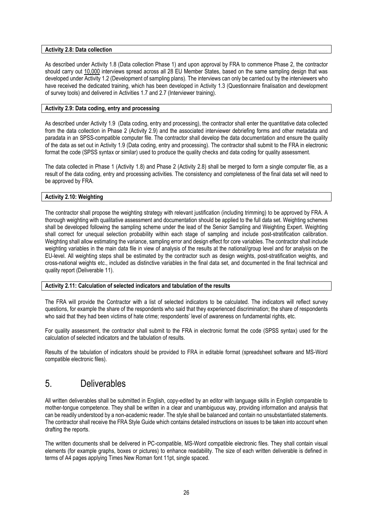#### **Activity 2.8: Data collection**

As described under Activity 1.8 (Data collection Phase 1) and upon approval by FRA to commence Phase 2, the contractor should carry out 10,000 interviews spread across all 28 EU Member States, based on the same sampling design that was developed under Activity 1.2 (Development of sampling plans). The interviews can only be carried out by the interviewers who have received the dedicated training, which has been developed in Activity 1.3 (Questionnaire finalisation and development of survey tools) and delivered in Activities 1.7 and 2.7 (Interviewer training).

#### **Activity 2.9: Data coding, entry and processing**

As described under Activity 1.9 (Data coding, entry and processing), the contractor shall enter the quantitative data collected from the data collection in Phase 2 (Activity 2.9) and the associated interviewer debriefing forms and other metadata and paradata in an SPSS-compatible computer file. The contractor shall develop the data documentation and ensure the quality of the data as set out in Activity 1.9 (Data coding, entry and processing). The contractor shall submit to the FRA in electronic format the code (SPSS syntax or similar) used to produce the quality checks and data coding for quality assessment.

The data collected in Phase 1 (Activity 1.8) and Phase 2 (Activity 2.8) shall be merged to form a single computer file, as a result of the data coding, entry and processing activities. The consistency and completeness of the final data set will need to be approved by FRA.

#### **Activity 2.10: Weighting**

The contractor shall propose the weighting strategy with relevant justification (including trimming) to be approved by FRA. A thorough weighting with qualitative assessment and documentation should be applied to the full data set. Weighting schemes shall be developed following the sampling scheme under the lead of the Senior Sampling and Weighting Expert. Weighting shall correct for unequal selection probability within each stage of sampling and include post-stratification calibration. Weighting shall allow estimating the variance, sampling error and design effect for core variables. The contractor shall include weighting variables in the main data file in view of analysis of the results at the national/group level and for analysis on the EU-level. All weighting steps shall be estimated by the contractor such as design weights, post-stratification weights, and cross-national weights etc., included as distinctive variables in the final data set, and documented in the final technical and quality report (Deliverable 11).

#### **Activity 2.11: Calculation of selected indicators and tabulation of the results**

The FRA will provide the Contractor with a list of selected indicators to be calculated. The indicators will reflect survey questions, for example the share of the respondents who said that they experienced discrimination; the share of respondents who said that they had been victims of hate crime; respondents' level of awareness on fundamental rights, etc.

For quality assessment, the contractor shall submit to the FRA in electronic format the code (SPSS syntax) used for the calculation of selected indicators and the tabulation of results.

Results of the tabulation of indicators should be provided to FRA in editable format (spreadsheet software and MS-Word compatible electronic files).

### 5. Deliverables

All written deliverables shall be submitted in English, copy-edited by an editor with language skills in English comparable to mother-tongue competence. They shall be written in a clear and unambiguous way, providing information and analysis that can be readily understood by a non-academic reader. The style shall be balanced and contain no unsubstantiated statements. The contractor shall receive the FRA Style Guide which contains detailed instructions on issues to be taken into account when drafting the reports.

The written documents shall be delivered in PC-compatible, MS-Word compatible electronic files. They shall contain visual elements (for example graphs, boxes or pictures) to enhance readability. The size of each written deliverable is defined in terms of A4 pages applying Times New Roman font 11pt, single spaced.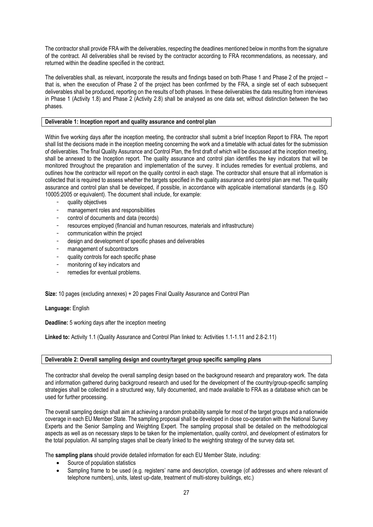The contractor shall provide FRA with the deliverables, respecting the deadlines mentioned below in months from the signature of the contract. All deliverables shall be revised by the contractor according to FRA recommendations, as necessary, and returned within the deadline specified in the contract.

The deliverables shall, as relevant, incorporate the results and findings based on both Phase 1 and Phase 2 of the project – that is, when the execution of Phase 2 of the project has been confirmed by the FRA, a single set of each subsequent deliverables shall be produced, reporting on the results of both phases. In these deliverables the data resulting from interviews in Phase 1 (Activity 1.8) and Phase 2 (Activity 2.8) shall be analysed as one data set, without distinction between the two phases.

#### **Deliverable 1: Inception report and quality assurance and control plan**

Within five working days after the inception meeting, the contractor shall submit a brief Inception Report to FRA. The report shall list the decisions made in the inception meeting concerning the work and a timetable with actual dates for the submission of deliverables. The final Quality Assurance and Control Plan, the first draft of which will be discussed at the inception meeting, shall be annexed to the Inception report. The quality assurance and control plan identifies the key indicators that will be monitored throughout the preparation and implementation of the survey. It includes remedies for eventual problems, and outlines how the contractor will report on the quality control in each stage. The contractor shall ensure that all information is collected that is required to assess whether the targets specified in the quality assurance and control plan are met. The quality assurance and control plan shall be developed, if possible, in accordance with applicable international standards (e.g. ISO 10005:2005 or equivalent). The document shall include, for example:

- quality objectives
- management roles and responsibilities
- control of documents and data (records)
- resources employed (financial and human resources, materials and infrastructure)
- communication within the project
- design and development of specific phases and deliverables
- management of subcontractors
- quality controls for each specific phase
- monitoring of key indicators and
- remedies for eventual problems.

**Size:** 10 pages (excluding annexes) + 20 pages Final Quality Assurance and Control Plan

**Language:** English

**Deadline:** 5 working days after the inception meeting

**Linked to:** Activity 1.1 (Quality Assurance and Control Plan linked to: Activities 1.1-1.11 and 2.8-2.11)

#### **Deliverable 2: Overall sampling design and country/target group specific sampling plans**

The contractor shall develop the overall sampling design based on the background research and preparatory work. The data and information gathered during background research and used for the development of the country/group-specific sampling strategies shall be collected in a structured way, fully documented, and made available to FRA as a database which can be used for further processing.

The overall sampling design shall aim at achieving a random probability sample for most of the target groups and a nationwide coverage in each EU Member State. The sampling proposal shall be developed in close co-operation with the National Survey Experts and the Senior Sampling and Weighting Expert. The sampling proposal shall be detailed on the methodological aspects as well as on necessary steps to be taken for the implementation, quality control, and development of estimators for the total population. All sampling stages shall be clearly linked to the weighting strategy of the survey data set.

The **sampling plans** should provide detailed information for each EU Member State, including:

- Source of population statistics
- Sampling frame to be used (e.g. registers' name and description, coverage (of addresses and where relevant of telephone numbers), units, latest up-date, treatment of multi-storey buildings, etc.)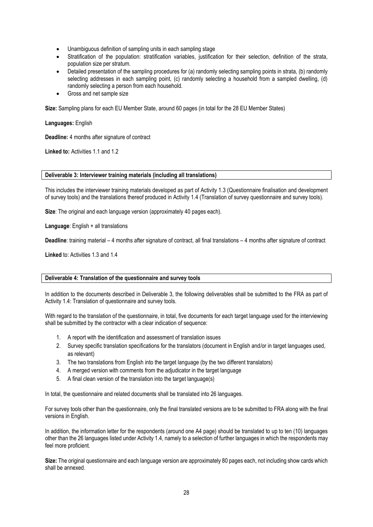- Unambiguous definition of sampling units in each sampling stage
- Stratification of the population: stratification variables, justification for their selection, definition of the strata, population size per stratum.
- Detailed presentation of the sampling procedures for (a) randomly selecting sampling points in strata, (b) randomly selecting addresses in each sampling point, (c) randomly selecting a household from a sampled dwelling, (d) randomly selecting a person from each household.
- Gross and net sample size

**Size:** Sampling plans for each EU Member State, around 60 pages (in total for the 28 EU Member States)

#### **Languages:** English

**Deadline:** 4 months after signature of contract

**Linked to:** Activities 1.1 and 1.2

#### **Deliverable 3: Interviewer training materials (including all translations)**

This includes the interviewer training materials developed as part of Activity 1.3 (Questionnaire finalisation and development of survey tools) and the translations thereof produced in Activity 1.4 (Translation of survey questionnaire and survey tools).

**Size**: The original and each language version (approximately 40 pages each).

**Language**: English + all translations

**Deadline**: training material – 4 months after signature of contract, all final translations – 4 months after signature of contract

**Linked** to: Activities 1.3 and 1.4

#### **Deliverable 4: Translation of the questionnaire and survey tools**

In addition to the documents described in Deliverable 3, the following deliverables shall be submitted to the FRA as part of Activity 1.4: Translation of questionnaire and survey tools.

With regard to the translation of the questionnaire, in total, five documents for each target language used for the interviewing shall be submitted by the contractor with a clear indication of sequence:

- 1. A report with the identification and assessment of translation issues
- 2. Survey specific translation specifications for the translators (document in English and/or in target languages used, as relevant)
- 3. The two translations from English into the target language (by the two different translators)
- 4. A merged version with comments from the adjudicator in the target language
- 5. A final clean version of the translation into the target language(s)

In total, the questionnaire and related documents shall be translated into 26 languages.

For survey tools other than the questionnaire, only the final translated versions are to be submitted to FRA along with the final versions in English.

In addition, the information letter for the respondents (around one A4 page) should be translated to up to ten (10) languages other than the 26 languages listed under Activity 1.4, namely to a selection of further languages in which the respondents may feel more proficient.

**Size:** The original questionnaire and each language version are approximately 80 pages each, not including show cards which shall be annexed.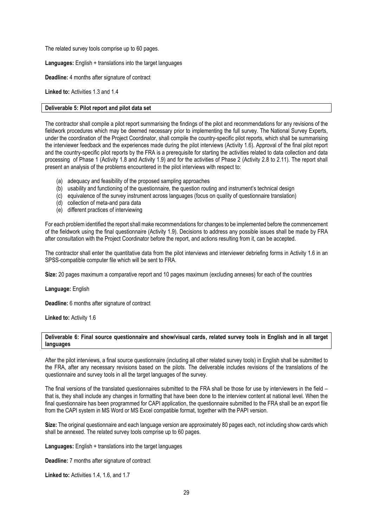The related survey tools comprise up to 60 pages.

**Languages:** English + translations into the target languages

**Deadline:** 4 months after signature of contract

**Linked to:** Activities 1.3 and 1.4

#### **Deliverable 5: Pilot report and pilot data set**

The contractor shall compile a pilot report summarising the findings of the pilot and recommendations for any revisions of the fieldwork procedures which may be deemed necessary prior to implementing the full survey. The National Survey Experts, under the coordination of the Project Coordinator, shall compile the country-specific pilot reports, which shall be summarising the interviewer feedback and the experiences made during the pilot interviews (Activity 1.6). Approval of the final pilot report and the country-specific pilot reports by the FRA is a prerequisite for starting the activities related to data collection and data processing of Phase 1 (Activity 1.8 and Activity 1.9) and for the activities of Phase 2 (Activity 2.8 to 2.11). The report shall present an analysis of the problems encountered in the pilot interviews with respect to:

- (a) adequacy and feasibility of the proposed sampling approaches
- (b) usability and functioning of the questionnaire, the question routing and instrument's technical design
- (c) equivalence of the survey instrument across languages (focus on quality of questionnaire translation)
- (d) collection of meta-and para data
- (e) different practices of interviewing

For each problem identified the report shall make recommendations for changes to be implemented before the commencement of the fieldwork using the final questionnaire (Activity 1.9). Decisions to address any possible issues shall be made by FRA after consultation with the Project Coordinator before the report, and actions resulting from it, can be accepted.

The contractor shall enter the quantitative data from the pilot interviews and interviewer debriefing forms in Activity 1.6 in an SPSS-compatible computer file which will be sent to FRA.

**Size:** 20 pages maximum a comparative report and 10 pages maximum (excluding annexes) for each of the countries

#### **Language:** English

**Deadline:** 6 months after signature of contract

**Linked to:** Activity 1.6

#### **Deliverable 6: Final source questionnaire and show/visual cards, related survey tools in English and in all target languages**

After the pilot interviews, a final source questionnaire (including all other related survey tools) in English shall be submitted to the FRA, after any necessary revisions based on the pilots. The deliverable includes revisions of the translations of the questionnaire and survey tools in all the target languages of the survey.

The final versions of the translated questionnaires submitted to the FRA shall be those for use by interviewers in the field – that is, they shall include any changes in formatting that have been done to the interview content at national level. When the final questionnaire has been programmed for CAPI application, the questionnaire submitted to the FRA shall be an export file from the CAPI system in MS Word or MS Excel compatible format, together with the PAPI version.

**Size:** The original questionnaire and each language version are approximately 80 pages each, not including show cards which shall be annexed. The related survey tools comprise up to 60 pages.

**Languages:** English + translations into the target languages

**Deadline:** 7 months after signature of contract

**Linked to:** Activities 1.4, 1.6, and 1.7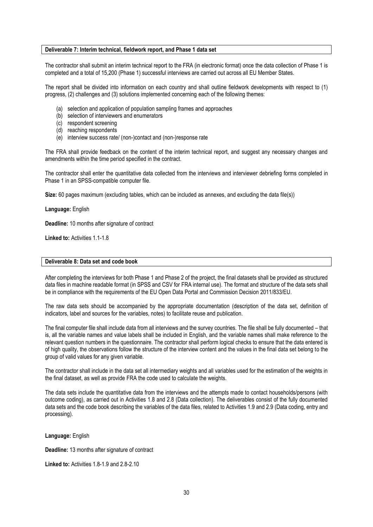#### **Deliverable 7: Interim technical, fieldwork report, and Phase 1 data set**

The contractor shall submit an interim technical report to the FRA (in electronic format) once the data collection of Phase 1 is completed and a total of 15,200 (Phase 1) successful interviews are carried out across all EU Member States.

The report shall be divided into information on each country and shall outline fieldwork developments with respect to (1) progress, (2) challenges and (3) solutions implemented concerning each of the following themes:

- (a) selection and application of population sampling frames and approaches
- (b) selection of interviewers and enumerators
- (c) respondent screening
- (d) reaching respondents
- (e) interview success rate/ (non-)contact and (non-)response rate

The FRA shall provide feedback on the content of the interim technical report, and suggest any necessary changes and amendments within the time period specified in the contract.

The contractor shall enter the quantitative data collected from the interviews and interviewer debriefing forms completed in Phase 1 in an SPSS-compatible computer file.

**Size:** 60 pages maximum (excluding tables, which can be included as annexes, and excluding the data file(s))

**Language:** English

**Deadline:** 10 months after signature of contract

**Linked to:** Activities 1.1-1.8

#### **Deliverable 8: Data set and code book**

After completing the interviews for both Phase 1 and Phase 2 of the project, the final datasets shall be provided as structured data files in machine readable format (in SPSS and CSV for FRA internal use). The format and structure of the data sets shall be in compliance with the requirements of the EU Open Data Portal and Commission Decision 2011/833/EU.

The raw data sets should be accompanied by the appropriate documentation (description of the data set, definition of indicators, label and sources for the variables, notes) to facilitate reuse and publication.

The final computer file shall include data from all interviews and the survey countries. The file shall be fully documented – that is, all the variable names and value labels shall be included in English, and the variable names shall make reference to the relevant question numbers in the questionnaire. The contractor shall perform logical checks to ensure that the data entered is of high quality, the observations follow the structure of the interview content and the values in the final data set belong to the group of valid values for any given variable.

The contractor shall include in the data set all intermediary weights and all variables used for the estimation of the weights in the final dataset, as well as provide FRA the code used to calculate the weights.

The data sets include the quantitative data from the interviews and the attempts made to contact households/persons (with outcome coding), as carried out in Activities 1.8 and 2.8 (Data collection). The deliverables consist of the fully documented data sets and the code book describing the variables of the data files, related to Activities 1.9 and 2.9 (Data coding, entry and processing).

**Language:** English

**Deadline: 13 months after signature of contract** 

**Linked to: Activities 1.8-1.9 and 2.8-2.10**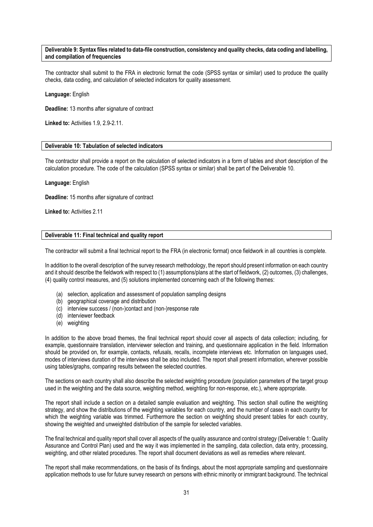#### **Deliverable 9: Syntax files related to data-file construction, consistency and quality checks, data coding and labelling, and compilation of frequencies**

The contractor shall submit to the FRA in electronic format the code (SPSS syntax or similar) used to produce the quality checks, data coding, and calculation of selected indicators for quality assessment.

#### **Language:** English

**Deadline:** 13 months after signature of contract

**Linked to:** Activities 1.9, 2.9-2.11.

#### **Deliverable 10: Tabulation of selected indicators**

The contractor shall provide a report on the calculation of selected indicators in a form of tables and short description of the calculation procedure. The code of the calculation (SPSS syntax or similar) shall be part of the Deliverable 10.

#### **Language:** English

**Deadline:** 15 months after signature of contract

**Linked to: Activities 2.11** 

#### **Deliverable 11: Final technical and quality report**

The contractor will submit a final technical report to the FRA (in electronic format) once fieldwork in all countries is complete.

In addition to the overall description of the survey research methodology, the report should present information on each country and it should describe the fieldwork with respect to (1) assumptions/plans at the start of fieldwork, (2) outcomes, (3) challenges, (4) quality control measures, and (5) solutions implemented concerning each of the following themes:

- (a) selection, application and assessment of population sampling designs
- (b) geographical coverage and distribution
- (c) interview success / (non-)contact and (non-)response rate
- (d) interviewer feedback
- (e) weighting

In addition to the above broad themes, the final technical report should cover all aspects of data collection; including, for example, questionnaire translation, interviewer selection and training, and questionnaire application in the field. Information should be provided on, for example, contacts, refusals, recalls, incomplete interviews etc. Information on languages used, modes of interviews duration of the interviews shall be also included. The report shall present information, wherever possible using tables/graphs, comparing results between the selected countries.

The sections on each country shall also describe the selected weighting procedure (population parameters of the target group used in the weighting and the data source, weighting method, weighting for non-response, etc.), where appropriate.

The report shall include a section on a detailed sample evaluation and weighting. This section shall outline the weighting strategy, and show the distributions of the weighting variables for each country, and the number of cases in each country for which the weighting variable was trimmed. Furthermore the section on weighting should present tables for each country, showing the weighted and unweighted distribution of the sample for selected variables.

The final technical and quality report shall cover all aspects of the quality assurance and control strategy (Deliverable 1: Quality Assurance and Control Plan) used and the way it was implemented in the sampling, data collection, data entry, processing, weighting, and other related procedures. The report shall document deviations as well as remedies where relevant.

The report shall make recommendations, on the basis of its findings, about the most appropriate sampling and questionnaire application methods to use for future survey research on persons with ethnic minority or immigrant background. The technical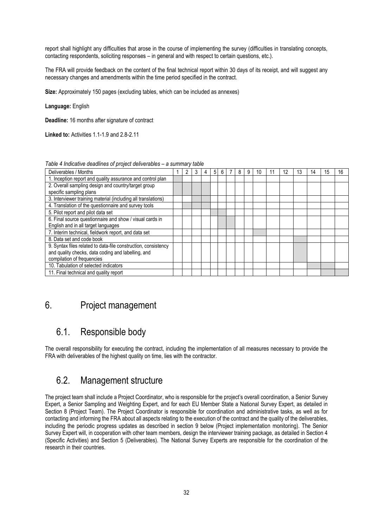report shall highlight any difficulties that arose in the course of implementing the survey (difficulties in translating concepts, contacting respondents, soliciting responses – in general and with respect to certain questions, etc.).

The FRA will provide feedback on the content of the final technical report within 30 days of its receipt, and will suggest any necessary changes and amendments within the time period specified in the contract.

**Size:** Approximately 150 pages (excluding tables, which can be included as annexes)

**Language:** English

**Deadline:** 16 months after signature of contract

**Linked to:** Activities 1.1-1.9 and 2.8-2.11

|  | Table 4 Indicative deadlines of project deliverables - a summary table |  |  |
|--|------------------------------------------------------------------------|--|--|
|  |                                                                        |  |  |

| Deliverables / Months                                          |  |  | 5 <sup>1</sup> |  | 8 | 9 | 10 |  | 13 | 14 | 16 |
|----------------------------------------------------------------|--|--|----------------|--|---|---|----|--|----|----|----|
| 1. Inception report and quality assurance and control plan     |  |  |                |  |   |   |    |  |    |    |    |
| 2. Overall sampling design and country/target group            |  |  |                |  |   |   |    |  |    |    |    |
| specific sampling plans                                        |  |  |                |  |   |   |    |  |    |    |    |
| 3. Interviewer training material (including all translations)  |  |  |                |  |   |   |    |  |    |    |    |
| 4. Translation of the questionnaire and survey tools           |  |  |                |  |   |   |    |  |    |    |    |
| 5. Pilot report and pilot data set                             |  |  |                |  |   |   |    |  |    |    |    |
| 6. Final source questionnaire and show / visual cards in       |  |  |                |  |   |   |    |  |    |    |    |
| English and in all target languages                            |  |  |                |  |   |   |    |  |    |    |    |
| 7. Interim technical, fieldwork report, and data set           |  |  |                |  |   |   |    |  |    |    |    |
| 8. Data set and code book                                      |  |  |                |  |   |   |    |  |    |    |    |
| 9. Syntax files related to data-file construction, consistency |  |  |                |  |   |   |    |  |    |    |    |
| and quality checks, data coding and labelling, and             |  |  |                |  |   |   |    |  |    |    |    |
| compilation of frequencies                                     |  |  |                |  |   |   |    |  |    |    |    |
| 10. Tabulation of selected indicators                          |  |  |                |  |   |   |    |  |    |    |    |
| 11. Final technical and quality report                         |  |  |                |  |   |   |    |  |    |    |    |

## 6. Project management

## 6.1. Responsible body

The overall responsibility for executing the contract, including the implementation of all measures necessary to provide the FRA with deliverables of the highest quality on time, lies with the contractor.

## 6.2. Management structure

The project team shall include a Project Coordinator, who is responsible for the project's overall coordination, a Senior Survey Expert, a Senior Sampling and Weighting Expert, and for each EU Member State a National Survey Expert, as detailed in Section 8 (Project Team). The Project Coordinator is responsible for coordination and administrative tasks, as well as for contacting and informing the FRA about all aspects relating to the execution of the contract and the quality of the deliverables, including the periodic progress updates as described in section 9 below (Project implementation monitoring). The Senior Survey Expert will, in cooperation with other team members, design the interviewer training package, as detailed in Section 4 (Specific Activities) and Section 5 (Deliverables). The National Survey Experts are responsible for the coordination of the research in their countries.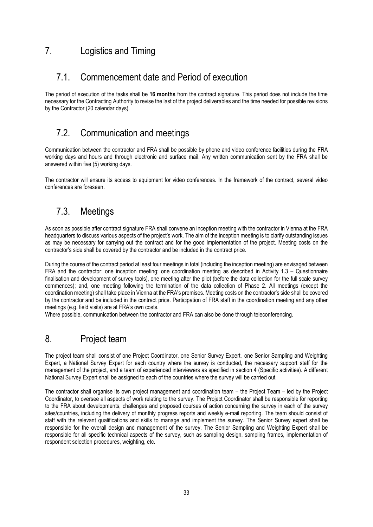## 7. Logistics and Timing

## 7.1. Commencement date and Period of execution

The period of execution of the tasks shall be **16 months** from the contract signature. This period does not include the time necessary for the Contracting Authority to revise the last of the project deliverables and the time needed for possible revisions by the Contractor (20 calendar days).

## 7.2. Communication and meetings

Communication between the contractor and FRA shall be possible by phone and video conference facilities during the FRA working days and hours and through electronic and surface mail. Any written communication sent by the FRA shall be answered within five (5) working days.

The contractor will ensure its access to equipment for video conferences. In the framework of the contract, several video conferences are foreseen.

## 7.3. Meetings

As soon as possible after contract signature FRA shall convene an inception meeting with the contractor in Vienna at the FRA headquarters to discuss various aspects of the project's work. The aim of the inception meeting is to clarify outstanding issues as may be necessary for carrying out the contract and for the good implementation of the project. Meeting costs on the contractor's side shall be covered by the contractor and be included in the contract price.

During the course of the contract period at least four meetings in total (including the inception meeting) are envisaged between FRA and the contractor: one inception meeting; one coordination meeting as described in Activity 1.3 – Questionnaire finalisation and development of survey tools), one meeting after the pilot (before the data collection for the full scale survey commences); and, one meeting following the termination of the data collection of Phase 2. All meetings (except the coordination meeting) shall take place in Vienna at the FRA's premises. Meeting costs on the contractor's side shall be covered by the contractor and be included in the contract price. Participation of FRA staff in the coordination meeting and any other meetings (e.g. field visits) are at FRA's own costs.

Where possible, communication between the contractor and FRA can also be done through teleconferencing.

## 8. Project team

The project team shall consist of one Project Coordinator, one Senior Survey Expert, one Senior Sampling and Weighting Expert, a National Survey Expert for each country where the survey is conducted, the necessary support staff for the management of the project, and a team of experienced interviewers as specified in section 4 (Specific activities). A different National Survey Expert shall be assigned to each of the countries where the survey will be carried out.

The contractor shall organise its own project management and coordination team – the Project Team – led by the Project Coordinator, to oversee all aspects of work relating to the survey. The Project Coordinator shall be responsible for reporting to the FRA about developments, challenges and proposed courses of action concerning the survey in each of the survey sites/countries, including the delivery of monthly progress reports and weekly e-mail reporting. The team should consist of staff with the relevant qualifications and skills to manage and implement the survey. The Senior Survey expert shall be responsible for the overall design and management of the survey. The Senior Sampling and Weighting Expert shall be responsible for all specific technical aspects of the survey, such as sampling design, sampling frames, implementation of respondent selection procedures, weighting, etc.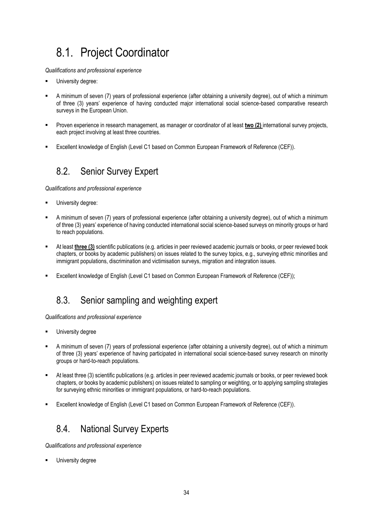# 8.1. Project Coordinator

*Qualifications and professional experience*

- University degree:
- A minimum of seven (7) years of professional experience (after obtaining a university degree), out of which a minimum of three (3) years' experience of having conducted major international social science-based comparative research surveys in the European Union.
- Proven experience in research management, as manager or coordinator of at least **two (2)** international survey projects, each project involving at least three countries.
- Excellent knowledge of English (Level C1 based on Common European Framework of Reference (CEF)).

## 8.2. Senior Survey Expert

*Qualifications and professional experience*

- University degree:
- A minimum of seven (7) years of professional experience (after obtaining a university degree), out of which a minimum of three (3) years' experience of having conducted international social science-based surveys on minority groups or hard to reach populations.
- At least **three (3)** scientific publications (e.g. articles in peer reviewed academic journals or books, or peer reviewed book chapters, or books by academic publishers) on issues related to the survey topics, e.g., surveying ethnic minorities and immigrant populations, discrimination and victimisation surveys, migration and integration issues.
- Excellent knowledge of English (Level C1 based on Common European Framework of Reference (CEF));

## 8.3. Senior sampling and weighting expert

*Qualifications and professional experience*

- University degree
- A minimum of seven (7) years of professional experience (after obtaining a university degree), out of which a minimum of three (3) years' experience of having participated in international social science-based survey research on minority groups or hard-to-reach populations.
- At least three (3) scientific publications (e.g. articles in peer reviewed academic journals or books, or peer reviewed book chapters, or books by academic publishers) on issues related to sampling or weighting, or to applying sampling strategies for surveying ethnic minorities or immigrant populations, or hard-to-reach populations.
- Excellent knowledge of English (Level C1 based on Common European Framework of Reference (CEF)).

## 8.4. National Survey Experts

*Qualifications and professional experience*

University degree